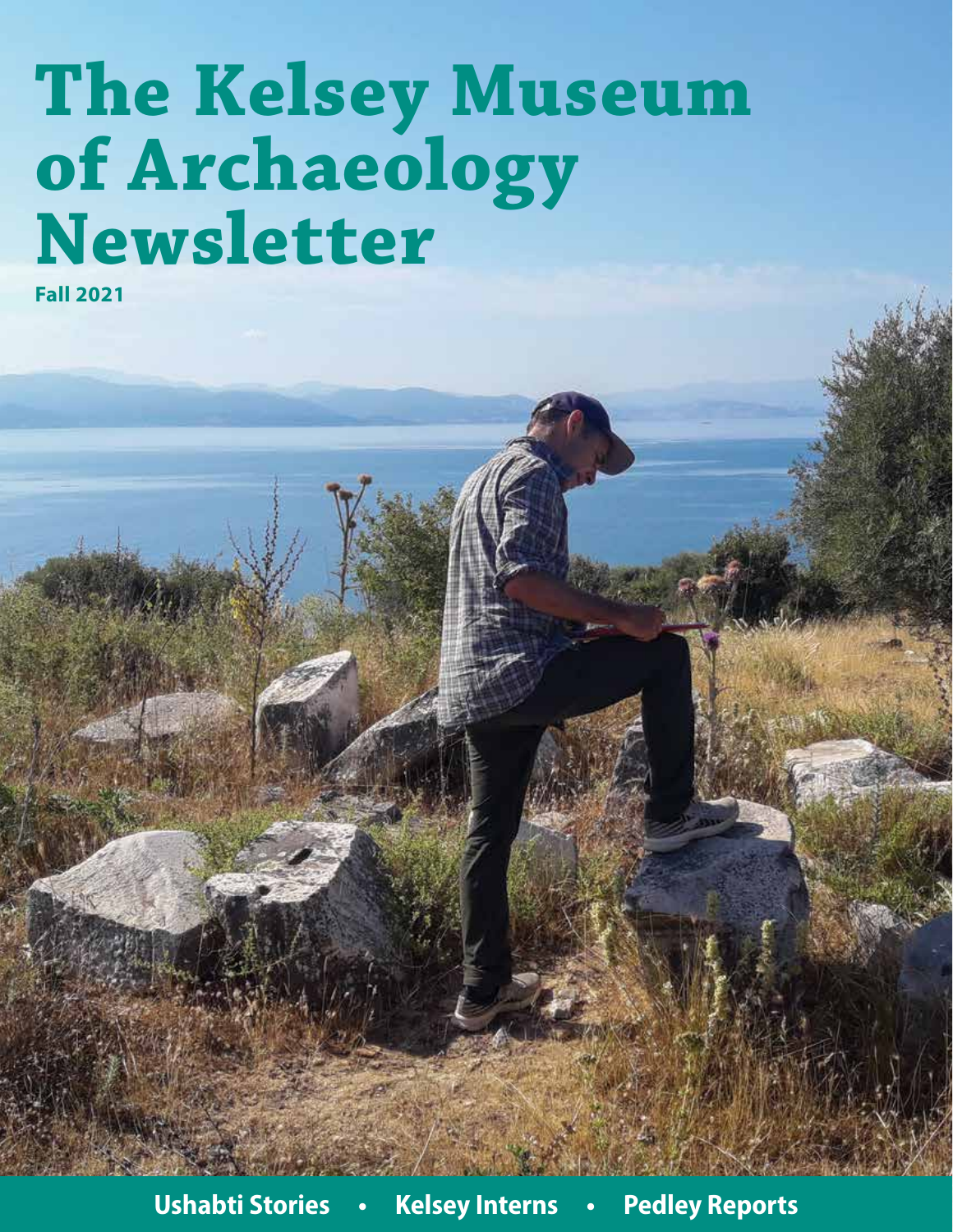# **The Kelsey Museum of Archaeology Newsletter**

**Fall 2021**

**Ushabti Stories • Kelsey Interns • Pedley Reports**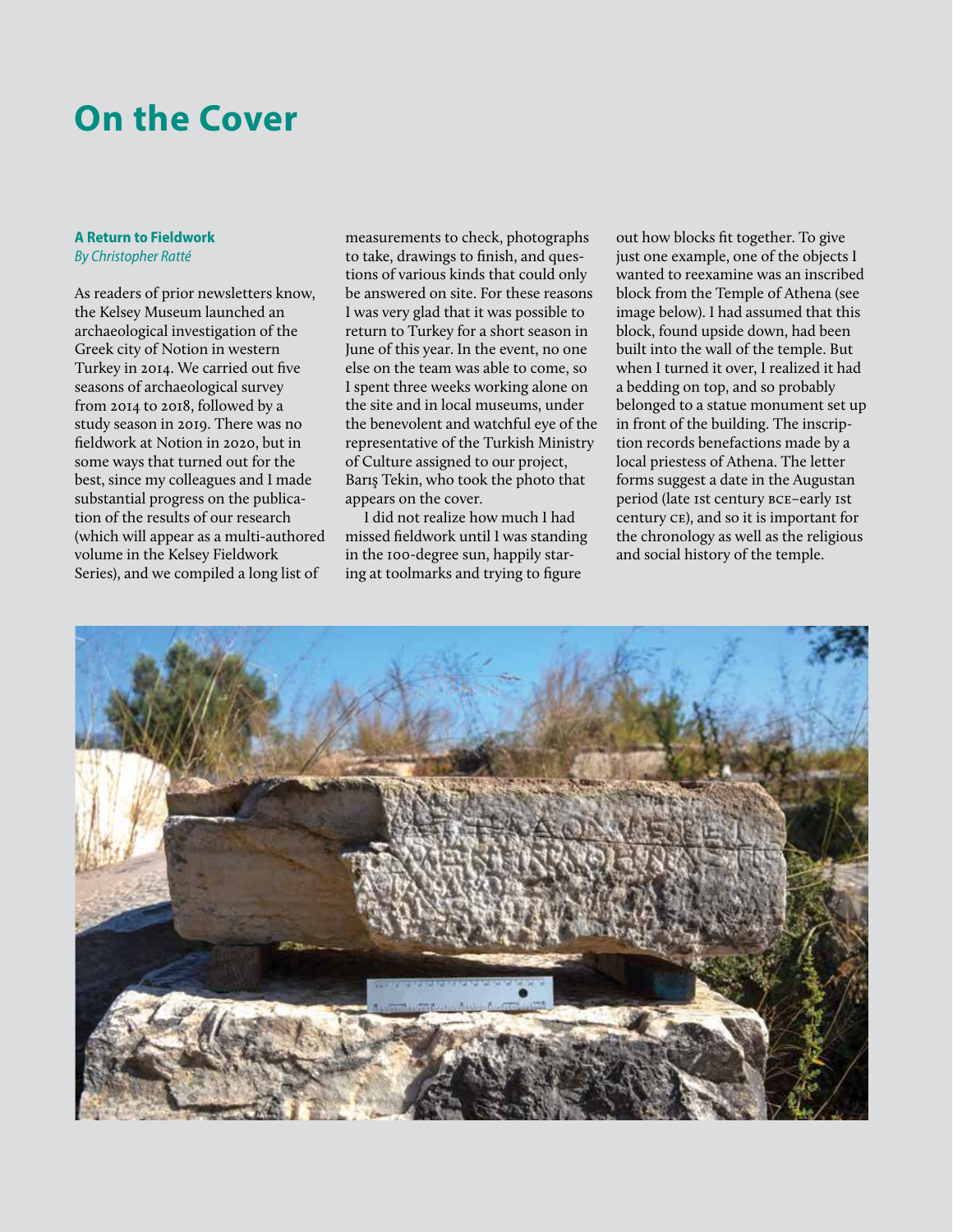### **On the Cover**

### **A Return to Fieldwork** *By Christopher Ratté*

As readers of prior newsletters know, the Kelsey Museum launched an archaeological investigation of the Greek city of Notion in western Turkey in 2014. We carried out five seasons of archaeological survey from 2014 to 2018, followed by a study season in 2019. There was no fieldwork at Notion in 2020, but in some ways that turned out for the best, since my colleagues and I made substantial progress on the publication of the results of our research (which will appear as a multi-authored volume in the Kelsey Fieldwork Series), and we compiled a long list of

measurements to check, photographs to take, drawings to finish, and questions of various kinds that could only be answered on site. For these reasons I was very glad that it was possible to return to Turkey for a short season in June of this year. In the event, no one else on the team was able to come, so I spent three weeks working alone on the site and in local museums, under the benevolent and watchful eye of the representative of the Turkish Ministry of Culture assigned to our project, Barış Tekin, who took the photo that appears on the cover.

I did not realize how much I had missed fieldwork until I was standing in the 100-degree sun, happily staring at toolmarks and trying to figure

out how blocks fit together. To give just one example, one of the objects I wanted to reexamine was an inscribed block from the Temple of Athena (see image below). I had assumed that this block, found upside down, had been built into the wall of the temple. But when I turned it over, I realized it had a bedding on top, and so probably belonged to a statue monument set up in front of the building. The inscription records benefactions made by a local priestess of Athena. The letter forms suggest a date in the Augustan period (late 1st century bce–early 1st century ce), and so it is important for the chronology as well as the religious and social history of the temple.

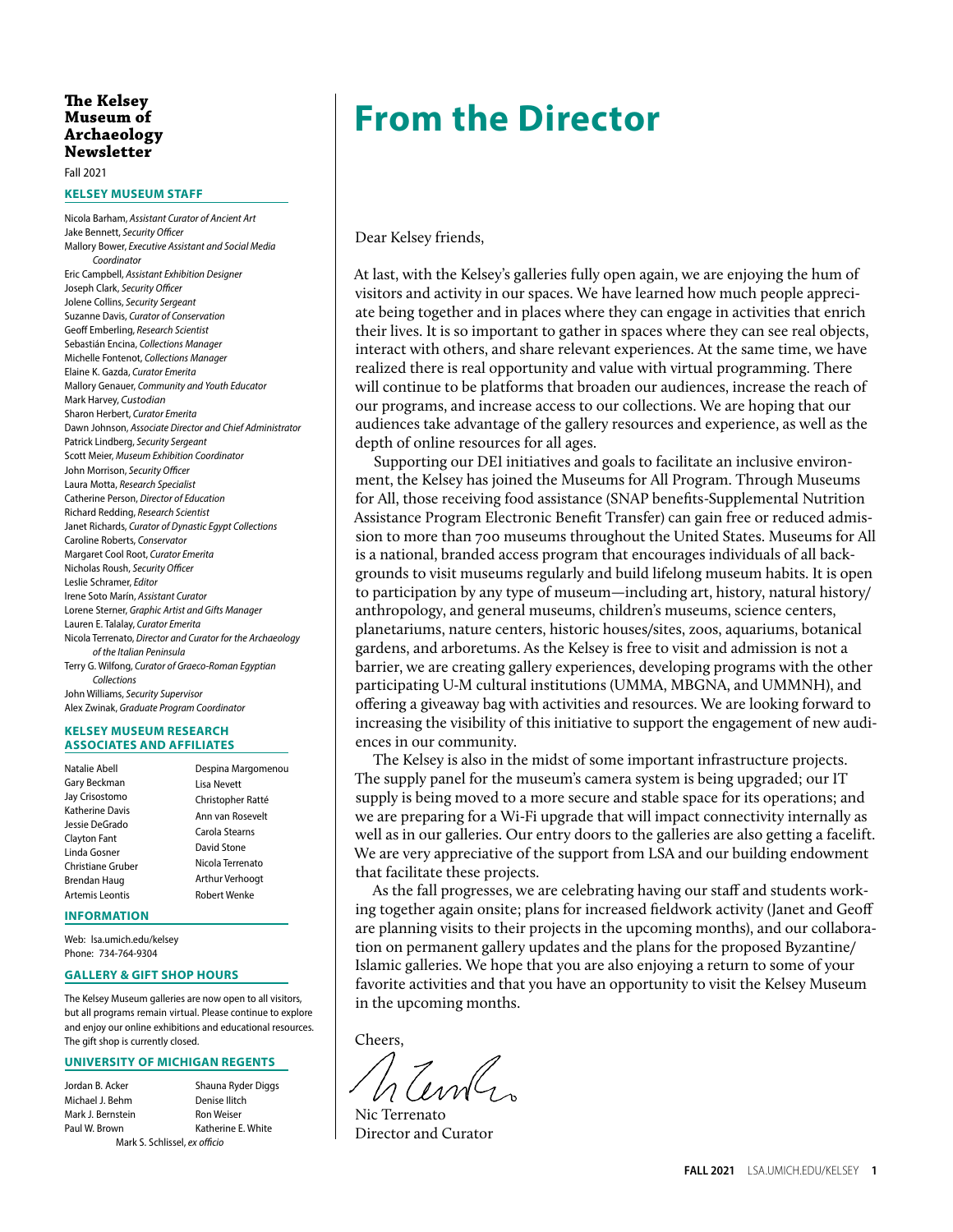### **Museum of Archaeology Newsletter**

Fall 2021

#### **KELSEY MUSEUM STAFF**

Nicola Barham, *Assistant Curator of Ancient Art* Jake Bennett, *Security Officer* Mallory Bower, *Executive Assistant and Social Media Coordinator* Eric Campbell, *Assistant Exhibition Designer* Joseph Clark, *Security Officer* Jolene Collins, *Security Sergeant* Suzanne Davis, *Curator of Conservation* Geoff Emberling, *Research Scientist* Sebastián Encina, *Collections Manager* Michelle Fontenot, *Collections Manager* Elaine K. Gazda, *Curator Emerita* Mallory Genauer, *Community and Youth Educator* Mark Harvey, *Custodian* Sharon Herbert, *Curator Emerita* Dawn Johnson, *Associate Director and Chief Administrator* Patrick Lindberg, *Security Sergeant* Scott Meier, *Museum Exhibition Coordinator* John Morrison, *Security Officer* Laura Motta, *Research Specialist* Catherine Person, *Director of Education* Richard Redding, *Research Scientist* Janet Richards, *Curator of Dynastic Egypt Collections* Caroline Roberts, *Conservator* Margaret Cool Root, *Curator Emerita* Nicholas Roush, *Security Officer* Leslie Schramer, *Editor* Irene Soto Marín, *Assistant Curator* Lorene Sterner, *Graphic Artist and Gifts Manager* Lauren E. Talalay, *Curator Emerita* Nicola Terrenato, *Director and Curator for the Archaeology of the Italian Peninsula* Terry G. Wilfong, *Curator of Graeco-Roman Egyptian Collections* John Williams, *Security Supervisor* Alex Zwinak, *Graduate Program Coordinator*

#### **KELSEY MUSEUM RESEARCH ASSOCIATES AND AFFILIATES**

| Natalie Abell          | Despina Margomenou |
|------------------------|--------------------|
| Gary Beckman           | Lisa Nevett        |
| Jay Crisostomo         | Christopher Ratté  |
| <b>Katherine Davis</b> | Ann van Rosevelt   |
| Jessie DeGrado         |                    |
| <b>Clayton Fant</b>    | Carola Stearns     |
| Linda Gosner           | David Stone        |
| Christiane Gruber      | Nicola Terrenato   |
| Brendan Haug           | Arthur Verhoogt    |
| Artemis Leontis        | Robert Wenke       |
|                        |                    |

#### **INFORMATION**

Web: [lsa.umich.edu/kelsey](http://lsa.umich.edu/kelsey) Phone: 734-764-9304

#### **GALLERY & GIFT SHOP HOURS**

The Kelsey Museum galleries are now open to all visitors, but all programs remain virtual. Please continue to explore and enjoy our online exhibitions and educational resources. The gift shop is currently closed.

#### **UNIVERSITY OF MICHIGAN REGENTS**

| Jordan B. Acker                     | Shauna Ryder Diggs |  |  |  |  |  |
|-------------------------------------|--------------------|--|--|--|--|--|
| Michael J. Behm                     | Denise Ilitch      |  |  |  |  |  |
| Mark J. Bernstein                   | <b>Ron Weiser</b>  |  |  |  |  |  |
| Katherine E. White<br>Paul W. Brown |                    |  |  |  |  |  |
| Mark S. Schlissel, ex officio       |                    |  |  |  |  |  |

### The Kelsey<br>Museum of **Trom the Director**

Dear Kelsey friends,

At last, with the Kelsey's galleries fully open again, we are enjoying the hum of visitors and activity in our spaces. We have learned how much people appreciate being together and in places where they can engage in activities that enrich their lives. It is so important to gather in spaces where they can see real objects, interact with others, and share relevant experiences. At the same time, we have realized there is real opportunity and value with virtual programming. There will continue to be platforms that broaden our audiences, increase the reach of our programs, and increase access to our collections. We are hoping that our audiences take advantage of the gallery resources and experience, as well as the depth of online resources for all ages.

Supporting our DEI initiatives and goals to facilitate an inclusive environment, the Kelsey has joined the Museums for All Program. Through Museums for All, those receiving food assistance (SNAP benefits-Supplemental Nutrition Assistance Program Electronic Benefit Transfer) can gain free or reduced admission to more than 700 museums throughout the United States. Museums for All is a national, branded access program that encourages individuals of all backgrounds to visit museums regularly and build lifelong museum habits. It is open to participation by any type of museum—including art, history, natural history/ anthropology, and general museums, children's museums, science centers, planetariums, nature centers, historic houses/sites, zoos, aquariums, botanical gardens, and arboretums. As the Kelsey is free to visit and admission is not a barrier, we are creating gallery experiences, developing programs with the other participating U-M cultural institutions (UMMA, MBGNA, and UMMNH), and offering a giveaway bag with activities and resources. We are looking forward to increasing the visibility of this initiative to support the engagement of new audiences in our community.

The Kelsey is also in the midst of some important infrastructure projects. The supply panel for the museum's camera system is being upgraded; our IT supply is being moved to a more secure and stable space for its operations; and we are preparing for a Wi-Fi upgrade that will impact connectivity internally as well as in our galleries. Our entry doors to the galleries are also getting a facelift. We are very appreciative of the support from LSA and our building endowment that facilitate these projects.

As the fall progresses, we are celebrating having our staff and students working together again onsite; plans for increased fieldwork activity (Janet and Geoff are planning visits to their projects in the upcoming months), and our collaboration on permanent gallery updates and the plans for the proposed Byzantine/ Islamic galleries. We hope that you are also enjoying a return to some of your favorite activities and that you have an opportunity to visit the Kelsey Museum in the upcoming months.

Cheers,

Nic Terrenato Director and Curator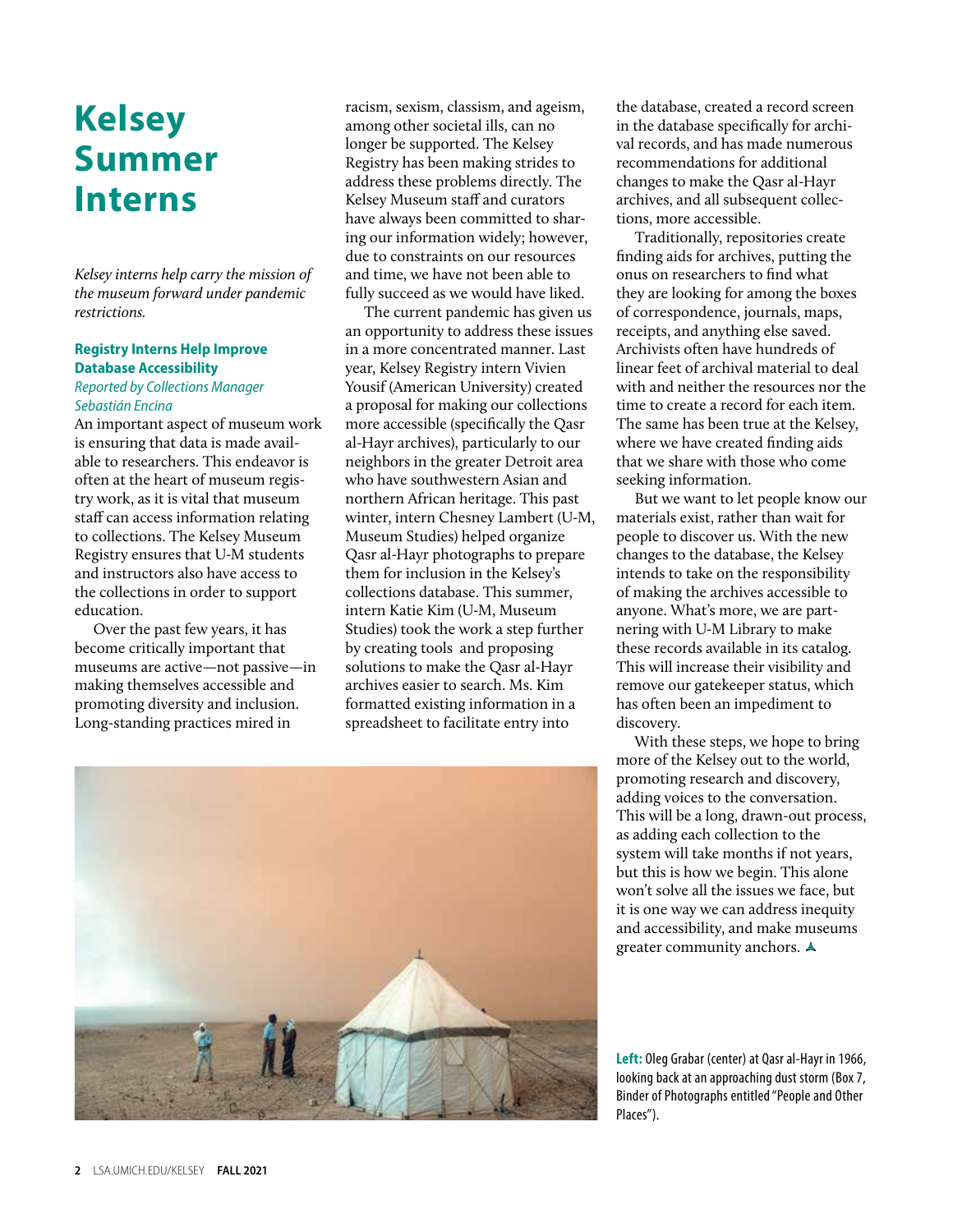### **Kelsey Summer Interns**

*Kelsey interns help carry the mission of the museum forward under pandemic restrictions.*

### **Registry Interns Help Improve Database Accessibility**

### *Reported by Collections Manager Sebastián Encina*

An important aspect of museum work is ensuring that data is made available to researchers. This endeavor is often at the heart of museum registry work, as it is vital that museum staff can access information relating to collections. The Kelsey Museum Registry ensures that U-M students and instructors also have access to the collections in order to support education.

Over the past few years, it has become critically important that museums are active—not passive—in making themselves accessible and promoting diversity and inclusion. Long-standing practices mired in

racism, sexism, classism, and ageism, among other societal ills, can no longer be supported. The Kelsey Registry has been making strides to address these problems directly. The Kelsey Museum staff and curators have always been committed to sharing our information widely; however, due to constraints on our resources and time, we have not been able to fully succeed as we would have liked.

The current pandemic has given us an opportunity to address these issues in a more concentrated manner. Last year, Kelsey Registry intern Vivien Yousif (American University) created a proposal for making our collections more accessible (specifically the Qasr al-Hayr archives), particularly to our neighbors in the greater Detroit area who have southwestern Asian and northern African heritage. This past winter, intern Chesney Lambert (U-M, Museum Studies) helped organize Qasr al-Hayr photographs to prepare them for inclusion in the Kelsey's collections database. This summer, intern Katie Kim (U-M, Museum Studies) took the work a step further by creating tools and proposing solutions to make the Qasr al-Hayr archives easier to search. Ms. Kim formatted existing information in a spreadsheet to facilitate entry into



the database, created a record screen in the database specifically for archival records, and has made numerous recommendations for additional changes to make the Qasr al-Hayr archives, and all subsequent collections, more accessible.

Traditionally, repositories create finding aids for archives, putting the onus on researchers to find what they are looking for among the boxes of correspondence, journals, maps, receipts, and anything else saved. Archivists often have hundreds of linear feet of archival material to deal with and neither the resources nor the time to create a record for each item. The same has been true at the Kelsey, where we have created finding aids that we share with those who come seeking information.

But we want to let people know our materials exist, rather than wait for people to discover us. With the new changes to the database, the Kelsey intends to take on the responsibility of making the archives accessible to anyone. What's more, we are partnering with U-M Library to make these records available in its catalog. This will increase their visibility and remove our gatekeeper status, which has often been an impediment to discovery.

With these steps, we hope to bring more of the Kelsey out to the world, promoting research and discovery, adding voices to the conversation. This will be a long, drawn-out process, as adding each collection to the system will take months if not years, but this is how we begin. This alone won't solve all the issues we face, but it is one way we can address inequity and accessibility, and make museums greater community anchors.  $\triangle$ 

**Left:** Oleg Grabar (center) at Qasr al-Hayr in 1966, looking back at an approaching dust storm (Box 7, Binder of Photographs entitled "People and Other Places").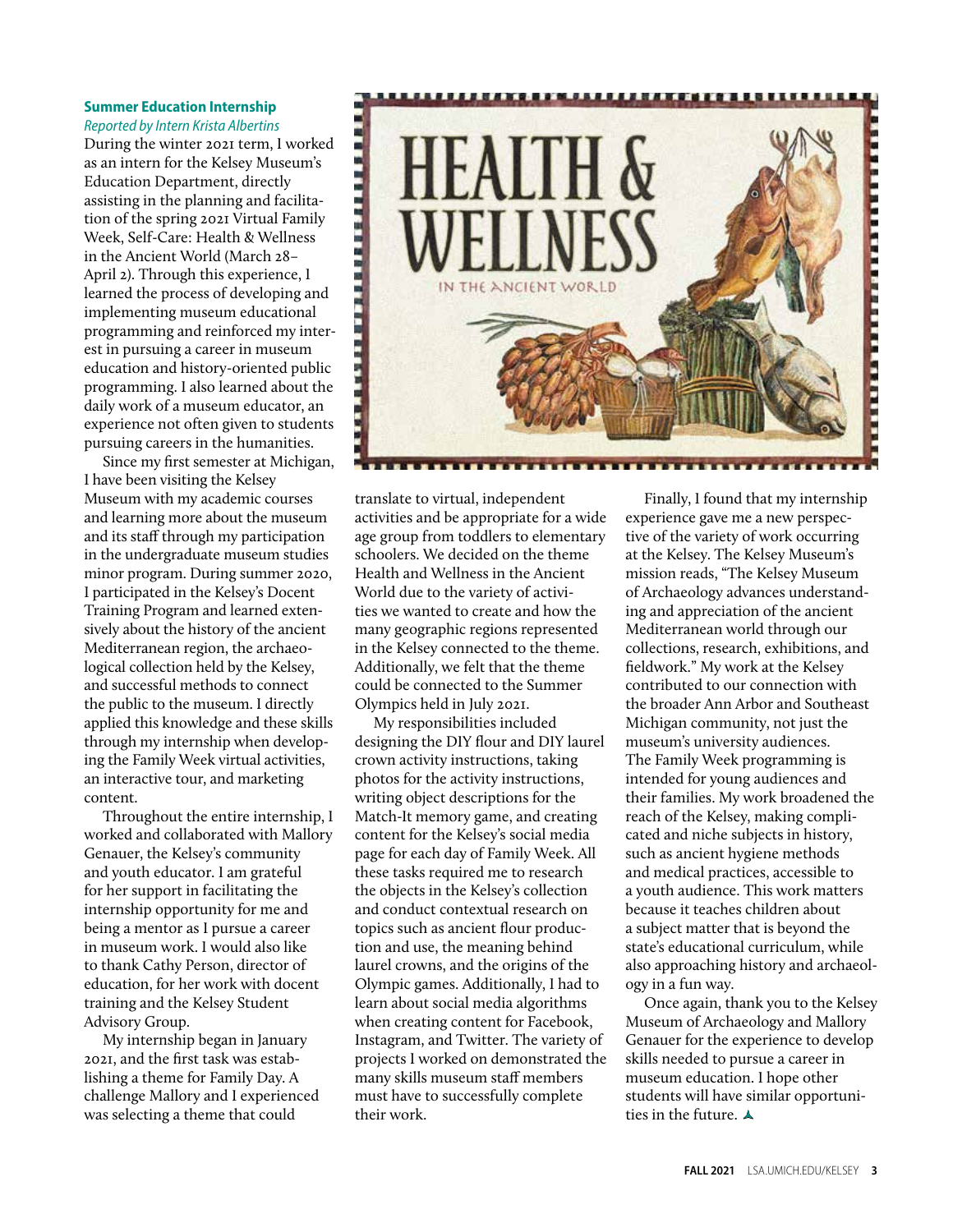#### **Summer Education Internship**  *Reported by Intern Krista Albertins*

During the winter 2021 term, I worked as an intern for the Kelsey Museum's Education Department, directly assisting in the planning and facilitation of the spring 2021 Virtual Family Week, Self-Care: Health & Wellness in the Ancient World (March 28– April 2). Through this experience, I learned the process of developing and implementing museum educational programming and reinforced my interest in pursuing a career in museum education and history-oriented public programming. I also learned about the daily work of a museum educator, an experience not often given to students pursuing careers in the humanities.

Since my first semester at Michigan, I have been visiting the Kelsey Museum with my academic courses and learning more about the museum and its staff through my participation in the undergraduate museum studies minor program. During summer 2020, I participated in the Kelsey's Docent Training Program and learned extensively about the history of the ancient Mediterranean region, the archaeological collection held by the Kelsey, and successful methods to connect the public to the museum. I directly applied this knowledge and these skills through my internship when developing the Family Week virtual activities, an interactive tour, and marketing content.

Throughout the entire internship, I worked and collaborated with Mallory Genauer, the Kelsey's community and youth educator. I am grateful for her support in facilitating the internship opportunity for me and being a mentor as I pursue a career in museum work. I would also like to thank Cathy Person, director of education, for her work with docent training and the Kelsey Student Advisory Group.

My internship began in January 2021, and the first task was establishing a theme for Family Day. A challenge Mallory and I experienced was selecting a theme that could



translate to virtual, independent activities and be appropriate for a wide age group from toddlers to elementary schoolers. We decided on the theme Health and Wellness in the Ancient World due to the variety of activities we wanted to create and how the many geographic regions represented in the Kelsey connected to the theme. Additionally, we felt that the theme could be connected to the Summer Olympics held in July 2021.

My responsibilities included designing the DIY flour and DIY laurel crown activity instructions, taking photos for the activity instructions, writing object descriptions for the Match-It memory game, and creating content for the Kelsey's social media page for each day of Family Week. All these tasks required me to research the objects in the Kelsey's collection and conduct contextual research on topics such as ancient flour production and use, the meaning behind laurel crowns, and the origins of the Olympic games. Additionally, I had to learn about social media algorithms when creating content for Facebook, Instagram, and Twitter. The variety of projects I worked on demonstrated the many skills museum staff members must have to successfully complete their work.

Finally, I found that my internship experience gave me a new perspective of the variety of work occurring at the Kelsey. The Kelsey Museum's mission reads, "The Kelsey Museum of Archaeology advances understanding and appreciation of the ancient Mediterranean world through our collections, research, exhibitions, and fieldwork." My work at the Kelsey contributed to our connection with the broader Ann Arbor and Southeast Michigan community, not just the museum's university audiences. The Family Week programming is intended for young audiences and their families. My work broadened the reach of the Kelsey, making complicated and niche subjects in history, such as ancient hygiene methods and medical practices, accessible to a youth audience. This work matters because it teaches children about a subject matter that is beyond the state's educational curriculum, while also approaching history and archaeology in a fun way.

Once again, thank you to the Kelsey Museum of Archaeology and Mallory Genauer for the experience to develop skills needed to pursue a career in museum education. I hope other students will have similar opportunities in the future.  $\blacktriangle$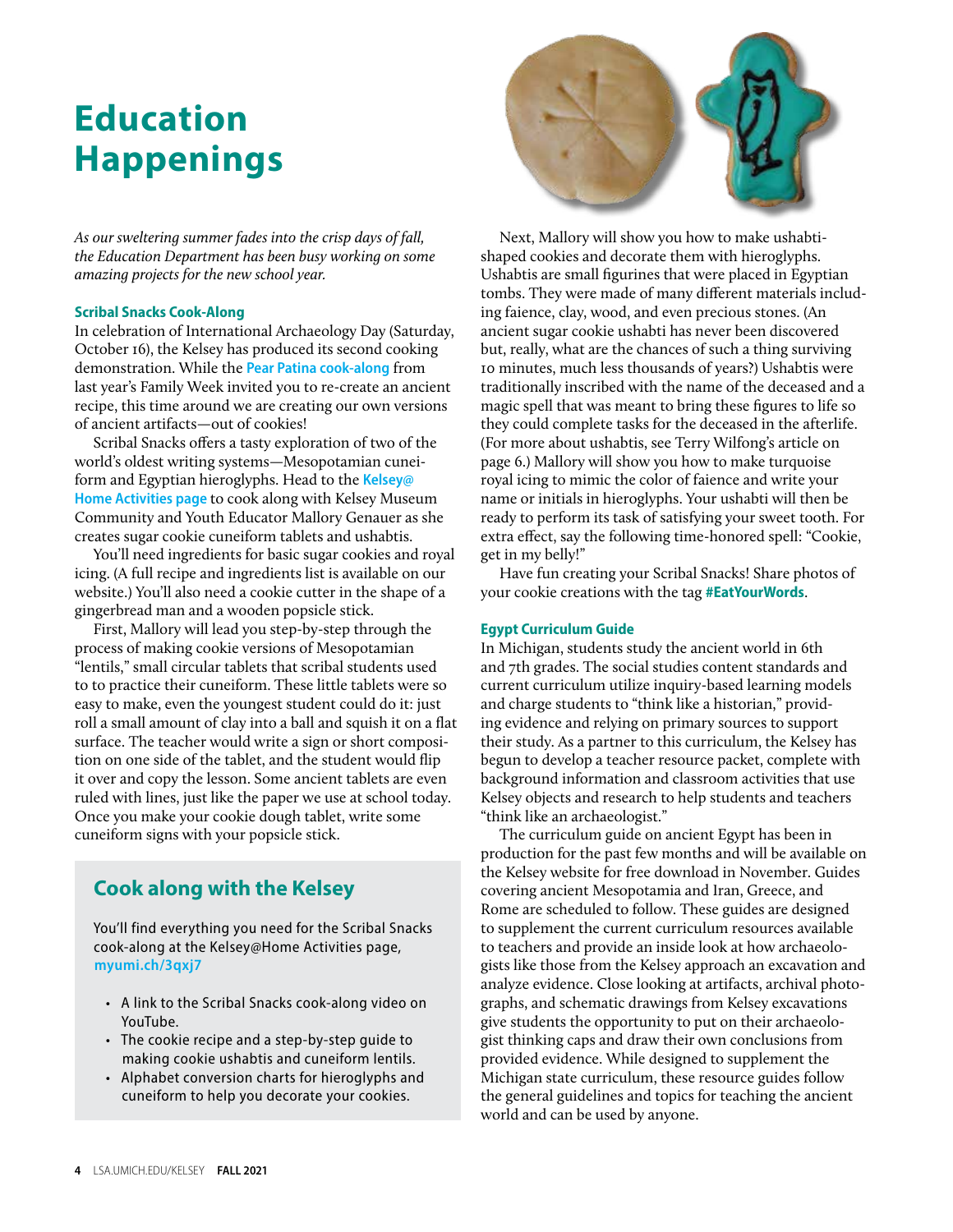### **Education Happenings**

*As our sweltering summer fades into the crisp days of fall, the Education Department has been busy working on some amazing projects for the new school year.* 

### **Scribal Snacks Cook-Along**

In celebration of International Archaeology Day (Saturday, October 16), the Kelsey has produced its second cooking demonstration. While the **[Pear Patina cook-along](https://youtu.be/wced_eL2btc)** from last year's Family Week invited you to re-create an ancient recipe, this time around we are creating our own versions of ancient artifacts—out of cookies!

Scribal Snacks offers a tasty exploration of two of the world's oldest writing systems—Mesopotamian cuneiform and Egyptian hieroglyphs. Head to the **[Kelsey@](https://lsa.umich.edu/kelsey/education/kelsey-home/activities.html) [Home Activities page](https://lsa.umich.edu/kelsey/education/kelsey-home/activities.html)** to cook along with Kelsey Museum Community and Youth Educator Mallory Genauer as she creates sugar cookie cuneiform tablets and ushabtis.

You'll need ingredients for basic sugar cookies and royal icing. (A full recipe and ingredients list is available on our website.) You'll also need a cookie cutter in the shape of a gingerbread man and a wooden popsicle stick.

First, Mallory will lead you step-by-step through the process of making cookie versions of Mesopotamian "lentils," small circular tablets that scribal students used to to practice their cuneiform. These little tablets were so easy to make, even the youngest student could do it: just roll a small amount of clay into a ball and squish it on a flat surface. The teacher would write a sign or short composition on one side of the tablet, and the student would flip it over and copy the lesson. Some ancient tablets are even ruled with lines, just like the paper we use at school today. Once you make your cookie dough tablet, write some cuneiform signs with your popsicle stick.

### **Cook along with the Kelsey**

You'll find everything you need for the Scribal Snacks cook-along at the Kelsey@Home Activities page, **[myumi.ch/3qxj7](https://myumi.ch/3qxj7)**

- A link to the Scribal Snacks cook-along video on YouTube.
- The cookie recipe and a step-by-step guide to making cookie ushabtis and cuneiform lentils.
- Alphabet conversion charts for hieroglyphs and cuneiform to help you decorate your cookies.



Next, Mallory will show you how to make ushabtishaped cookies and decorate them with hieroglyphs. Ushabtis are small figurines that were placed in Egyptian tombs. They were made of many different materials including faience, clay, wood, and even precious stones. (An ancient sugar cookie ushabti has never been discovered but, really, what are the chances of such a thing surviving 10 minutes, much less thousands of years?) Ushabtis were traditionally inscribed with the name of the deceased and a magic spell that was meant to bring these figures to life so they could complete tasks for the deceased in the afterlife. (For more about ushabtis, see Terry Wilfong's article on [page 6.](#page-7-0)) Mallory will show you how to make turquoise royal icing to mimic the color of faience and write your name or initials in hieroglyphs. Your ushabti will then be ready to perform its task of satisfying your sweet tooth. For extra effect, say the following time-honored spell: "Cookie, get in my belly!"

Have fun creating your Scribal Snacks! Share photos of your cookie creations with the tag **#EatYourWords**.

### **Egypt Curriculum Guide**

In Michigan, students study the ancient world in 6th and 7th grades. The social studies content standards and current curriculum utilize inquiry-based learning models and charge students to "think like a historian," providing evidence and relying on primary sources to support their study. As a partner to this curriculum, the Kelsey has begun to develop a teacher resource packet, complete with background information and classroom activities that use Kelsey objects and research to help students and teachers "think like an archaeologist."

The curriculum guide on ancient Egypt has been in production for the past few months and will be available on the Kelsey website for free download in November. Guides covering ancient Mesopotamia and Iran, Greece, and Rome are scheduled to follow. These guides are designed to supplement the current curriculum resources available to teachers and provide an inside look at how archaeologists like those from the Kelsey approach an excavation and analyze evidence. Close looking at artifacts, archival photographs, and schematic drawings from Kelsey excavations give students the opportunity to put on their archaeologist thinking caps and draw their own conclusions from provided evidence. While designed to supplement the Michigan state curriculum, these resource guides follow the general guidelines and topics for teaching the ancient world and can be used by anyone.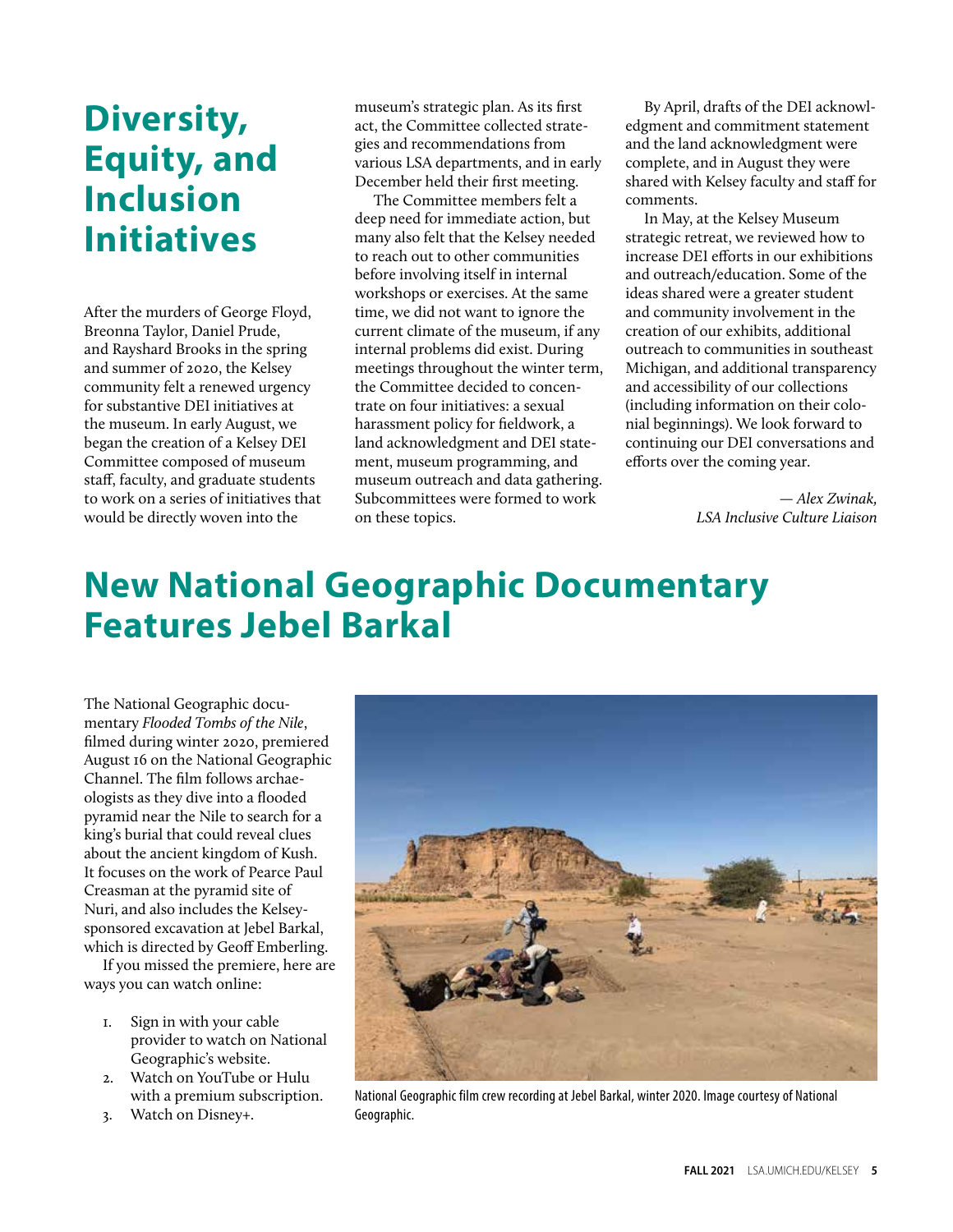### **Diversity, Equity, and Inclusion Initiatives**

After the murders of George Floyd, Breonna Taylor, Daniel Prude, and Rayshard Brooks in the spring and summer of 2020, the Kelsey community felt a renewed urgency for substantive DEI initiatives at the museum. In early August, we began the creation of a Kelsey DEI Committee composed of museum staff, faculty, and graduate students to work on a series of initiatives that would be directly woven into the

museum's strategic plan. As its first act, the Committee collected strategies and recommendations from various LSA departments, and in early December held their first meeting.

The Committee members felt a deep need for immediate action, but many also felt that the Kelsey needed to reach out to other communities before involving itself in internal workshops or exercises. At the same time, we did not want to ignore the current climate of the museum, if any internal problems did exist. During meetings throughout the winter term, the Committee decided to concentrate on four initiatives: a sexual harassment policy for fieldwork, a land acknowledgment and DEI statement, museum programming, and museum outreach and data gathering. Subcommittees were formed to work on these topics.

By April, drafts of the DEI acknowledgment and commitment statement and the land acknowledgment were complete, and in August they were shared with Kelsey faculty and staff for comments.

In May, at the Kelsey Museum strategic retreat, we reviewed how to increase DEI efforts in our exhibitions and outreach/education. Some of the ideas shared were a greater student and community involvement in the creation of our exhibits, additional outreach to communities in southeast Michigan, and additional transparency and accessibility of our collections (including information on their colonial beginnings). We look forward to continuing our DEI conversations and efforts over the coming year.

> *— Alex Zwinak, LSA Inclusive Culture Liaison*

### **New National Geographic Documentary Features Jebel Barkal**

The National Geographic documentary *Flooded Tombs of the Nile*, filmed during winter 2020, premiered August 16 on the National Geographic Channel. The film follows archaeologists as they dive into a flooded pyramid near the Nile to search for a king's burial that could reveal clues about the ancient kingdom of Kush. It focuses on the work of Pearce Paul Creasman at the pyramid site of Nuri, and also includes the Kelseysponsored excavation at Jebel Barkal, which is directed by Geoff Emberling.

If you missed the premiere, here are ways you can watch online:

- 1. Sign in with your cable provider to watch on National Geographic's website.
- 2. Watch on YouTube or Hulu with a premium subscription.
- 3. Watch on Disney+.



National Geographic film crew recording at Jebel Barkal, winter 2020. Image courtesy of National Geographic.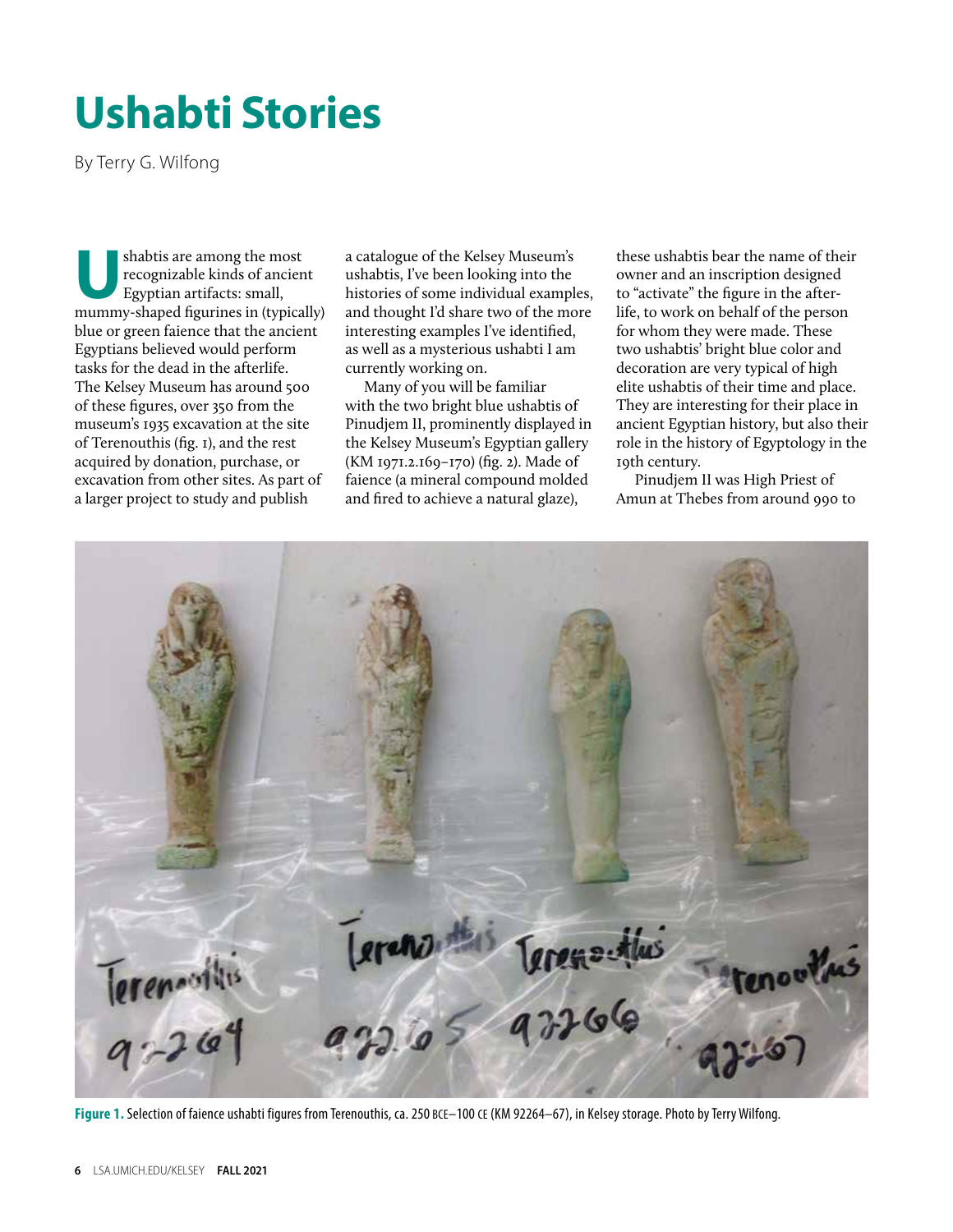## <span id="page-7-0"></span>**Ushabti Stories**

By Terry G. Wilfong

shabtis are among the most recognizable kinds of ancient Egyptian artifacts: small, mummy-shaped figurines in (typically) blue or green faience that the ancient Egyptians believed would perform tasks for the dead in the afterlife. The Kelsey Museum has around 500 of these figures, over 350 from the museum's 1935 excavation at the site of Terenouthis (fig. 1), and the rest acquired by donation, purchase, or excavation from other sites. As part of a larger project to study and publish

a catalogue of the Kelsey Museum's ushabtis, I've been looking into the histories of some individual examples, and thought I'd share two of the more interesting examples I've identified, as well as a mysterious ushabti I am currently working on.

Many of you will be familiar with the two bright blue ushabtis of Pinudjem II, prominently displayed in the Kelsey Museum's Egyptian gallery (KM 1971.2.169–170) (fig. 2). Made of faience (a mineral compound molded and fired to achieve a natural glaze),

these ushabtis bear the name of their owner and an inscription designed to "activate" the figure in the afterlife, to work on behalf of the person for whom they were made. These two ushabtis' bright blue color and decoration are very typical of high elite ushabtis of their time and place. They are interesting for their place in ancient Egyptian history, but also their role in the history of Egyptology in the 19th century.

Pinudjem II was High Priest of Amun at Thebes from around 990 to



Figure 1. Selection of faience ushabti figures from Terenouthis, ca. 250 BCE-100 CE (KM 92264-67), in Kelsey storage. Photo by Terry Wilfong.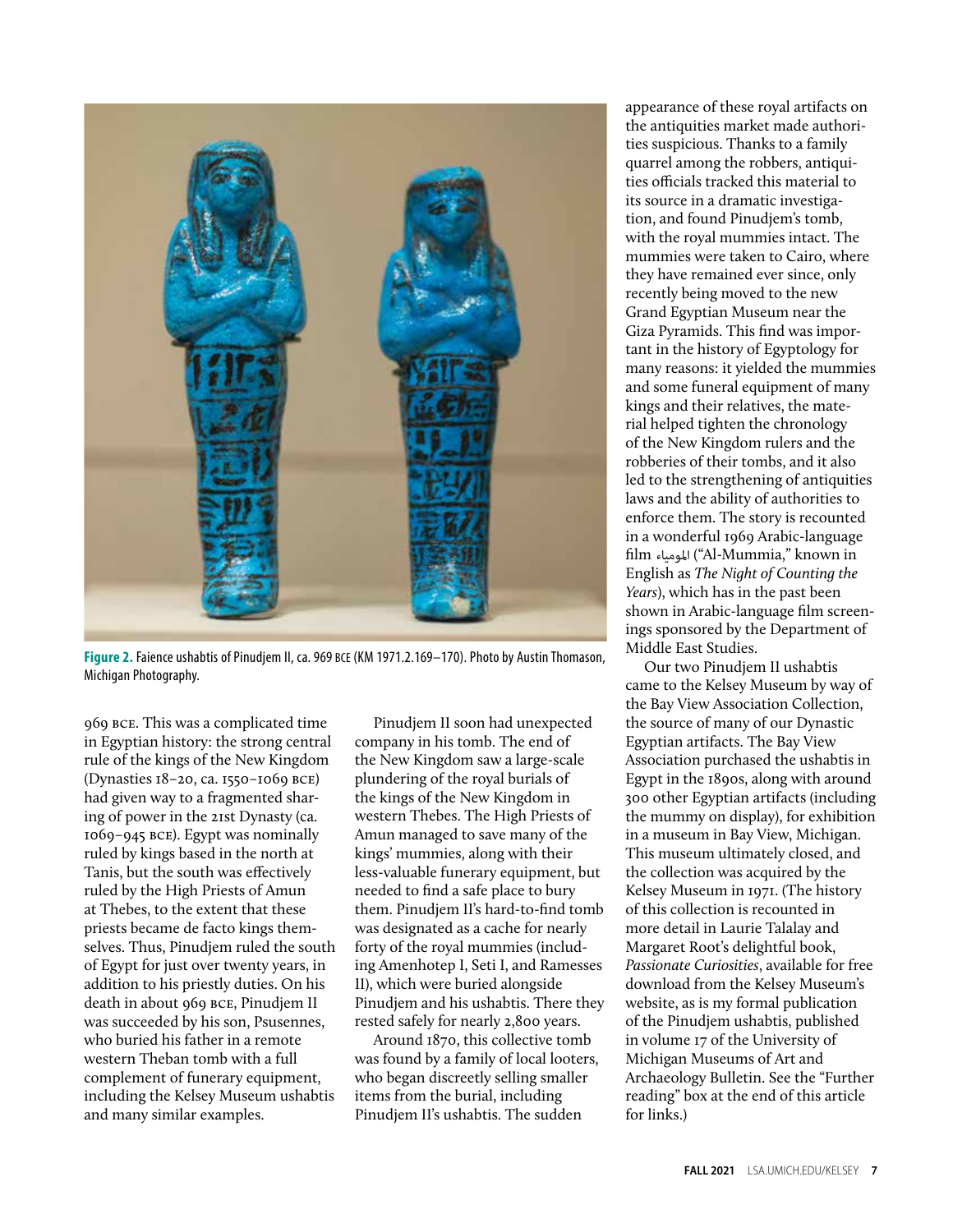

Figure 2. Faience ushabtis of Pinudjem II, ca. 969 BCE (KM 1971.2.169-170). Photo by Austin Thomason, Michigan Photography.

969 bce. This was a complicated time in Egyptian history: the strong central rule of the kings of the New Kingdom (Dynasties 18–20, ca. 1550–1069 bce) had given way to a fragmented sharing of power in the 21st Dynasty (ca. 1069–945 bce). Egypt was nominally ruled by kings based in the north at Tanis, but the south was effectively ruled by the High Priests of Amun at Thebes, to the extent that these priests became de facto kings themselves. Thus, Pinudjem ruled the south of Egypt for just over twenty years, in addition to his priestly duties. On his death in about 969 bce, Pinudjem II was succeeded by his son, Psusennes, who buried his father in a remote western Theban tomb with a full complement of funerary equipment, including the Kelsey Museum ushabtis and many similar examples.

Pinudjem II soon had unexpected company in his tomb. The end of the New Kingdom saw a large-scale plundering of the royal burials of the kings of the New Kingdom in western Thebes. The High Priests of Amun managed to save many of the kings' mummies, along with their less-valuable funerary equipment, but needed to find a safe place to bury them. Pinudjem II's hard-to-find tomb was designated as a cache for nearly forty of the royal mummies (including Amenhotep I, Seti I, and Ramesses II), which were buried alongside Pinudjem and his ushabtis. There they rested safely for nearly 2,800 years.

Around 1870, this collective tomb was found by a family of local looters, who began discreetly selling smaller items from the burial, including Pinudjem II's ushabtis. The sudden

appearance of these royal artifacts on the antiquities market made authorities suspicious. Thanks to a family quarrel among the robbers, antiquities officials tracked this material to its source in a dramatic investigation, and found Pinudjem's tomb, with the royal mummies intact. The mummies were taken to Cairo, where they have remained ever since, only recently being moved to the new Grand Egyptian Museum near the Giza Pyramids. This find was important in the history of Egyptology for many reasons: it yielded the mummies and some funeral equipment of many kings and their relatives, the material helped tighten the chronology of the New Kingdom rulers and the robberies of their tombs, and it also led to the strengthening of antiquities laws and the ability of authorities to enforce them. The story is recounted in a wonderful 1969 Arabic-language film املومياء") Al-Mummia," known in English as *The Night of Counting the Years*), which has in the past been shown in Arabic-language film screenings sponsored by the Department of Middle East Studies.

Our two Pinudjem II ushabtis came to the Kelsey Museum by way of the Bay View Association Collection, the source of many of our Dynastic Egyptian artifacts. The Bay View Association purchased the ushabtis in Egypt in the 1890s, along with around 300 other Egyptian artifacts (including the mummy on display), for exhibition in a museum in Bay View, Michigan. This museum ultimately closed, and the collection was acquired by the Kelsey Museum in 1971. (The history of this collection is recounted in more detail in Laurie Talalay and Margaret Root's delightful book, *Passionate Curiosities*, available for free download from the Kelsey Museum's website, as is my formal publication of the Pinudjem ushabtis, published in volume 17 of the University of Michigan Museums of Art and Archaeology Bulletin. See the "Further reading" box at the end of this article for links.)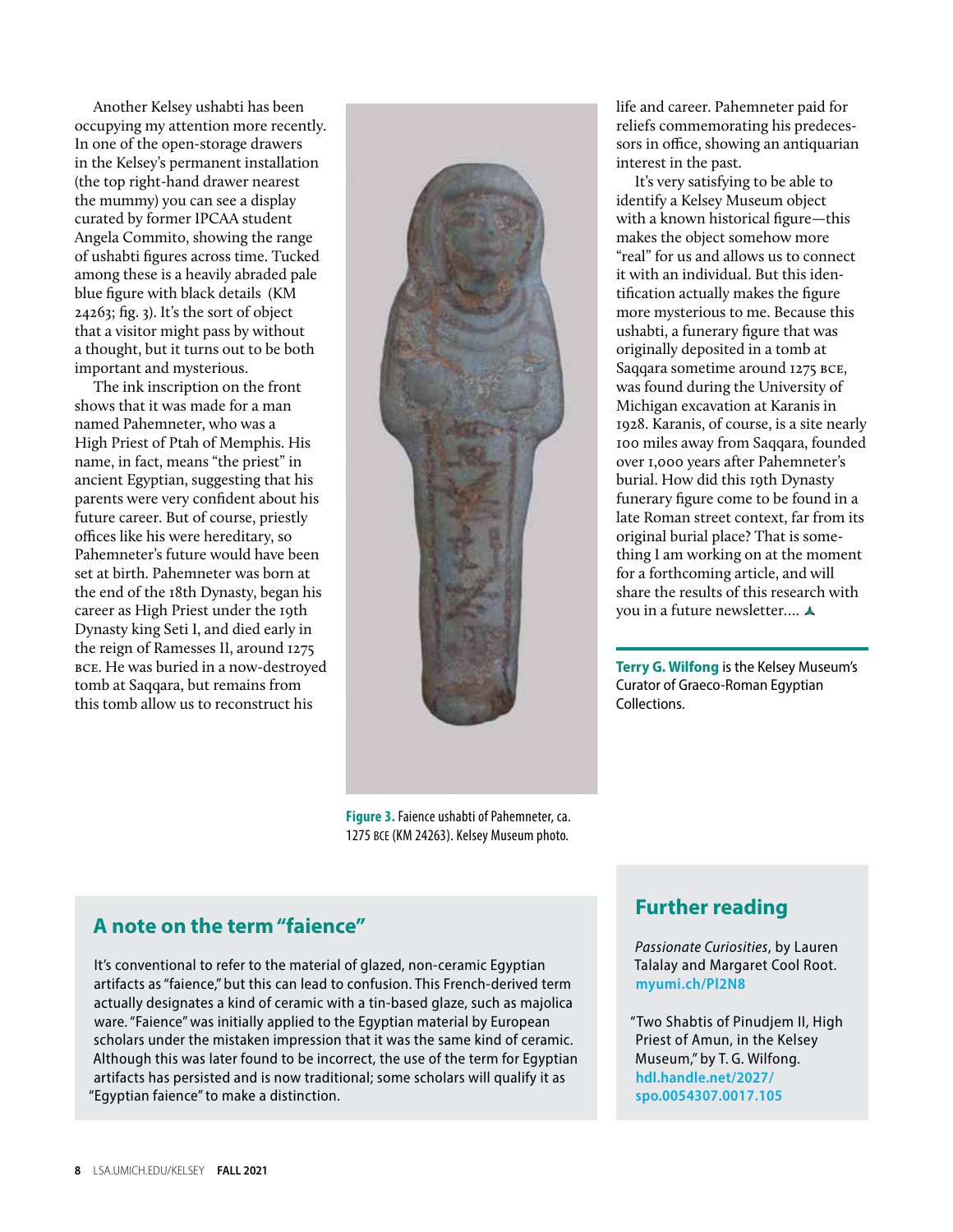Another Kelsey ushabti has been occupying my attention more recently. In one of the open-storage drawers in the Kelsey's permanent installation (the top right-hand drawer nearest the mummy) you can see a display curated by former IPCAA student Angela Commito, showing the range of ushabti figures across time. Tucked among these is a heavily abraded pale blue figure with black details (KM 24263; fig. 3). It's the sort of object that a visitor might pass by without a thought, but it turns out to be both important and mysterious.

The ink inscription on the front shows that it was made for a man named Pahemneter, who was a High Priest of Ptah of Memphis. His name, in fact, means "the priest" in ancient Egyptian, suggesting that his parents were very confident about his future career. But of course, priestly offices like his were hereditary, so Pahemneter's future would have been set at birth. Pahemneter was born at the end of the 18th Dynasty, began his career as High Priest under the 19th Dynasty king Seti I, and died early in the reign of Ramesses II, around 1275 bce. He was buried in a now-destroyed tomb at Saqqara, but remains from this tomb allow us to reconstruct his



**Figure 3.** Faience ushabti of Pahemneter, ca. 1275 bce (KM 24263). Kelsey Museum photo.

life and career. Pahemneter paid for reliefs commemorating his predecessors in office, showing an antiquarian interest in the past.

It's very satisfying to be able to identify a Kelsey Museum object with a known historical figure—this makes the object somehow more "real" for us and allows us to connect it with an individual. But this identification actually makes the figure more mysterious to me. Because this ushabti, a funerary figure that was originally deposited in a tomb at Saqqara sometime around 1275 bce, was found during the University of Michigan excavation at Karanis in 1928. Karanis, of course, is a site nearly 100 miles away from Saqqara, founded over 1,000 years after Pahemneter's burial. How did this 19th Dynasty funerary figure come to be found in a late Roman street context, far from its original burial place? That is something I am working on at the moment for a forthcoming article, and will share the results of this research with you in a future newsletter….

**Terry G. Wilfong** is the Kelsey Museum's Curator of Graeco-Roman Egyptian Collections.

### **A note on the term "faience"**

It's conventional to refer to the material of glazed, non-ceramic Egyptian artifacts as "faience," but this can lead to confusion. This French-derived term actually designates a kind of ceramic with a tin-based glaze, such as majolica ware. "Faience" was initially applied to the Egyptian material by European scholars under the mistaken impression that it was the same kind of ceramic. Although this was later found to be incorrect, the use of the term for Egyptian artifacts has persisted and is now traditional; some scholars will qualify it as "Egyptian faience" to make a distinction.

### **Further reading**

*Passionate Curiosities*, by Lauren Talalay and Margaret Cool Root. **[myumi.ch/Pl2N8](https://myumi.ch/Pl2N8)**

"Two Shabtis of Pinudjem II, High Priest of Amun, in the Kelsey Museum," by T. G. Wilfong. **[hdl.handle.net/2027/](http://hdl.handle.net/2027/spo.0054307.0017.105) [spo.0054307.0017.105](http://hdl.handle.net/2027/spo.0054307.0017.105)**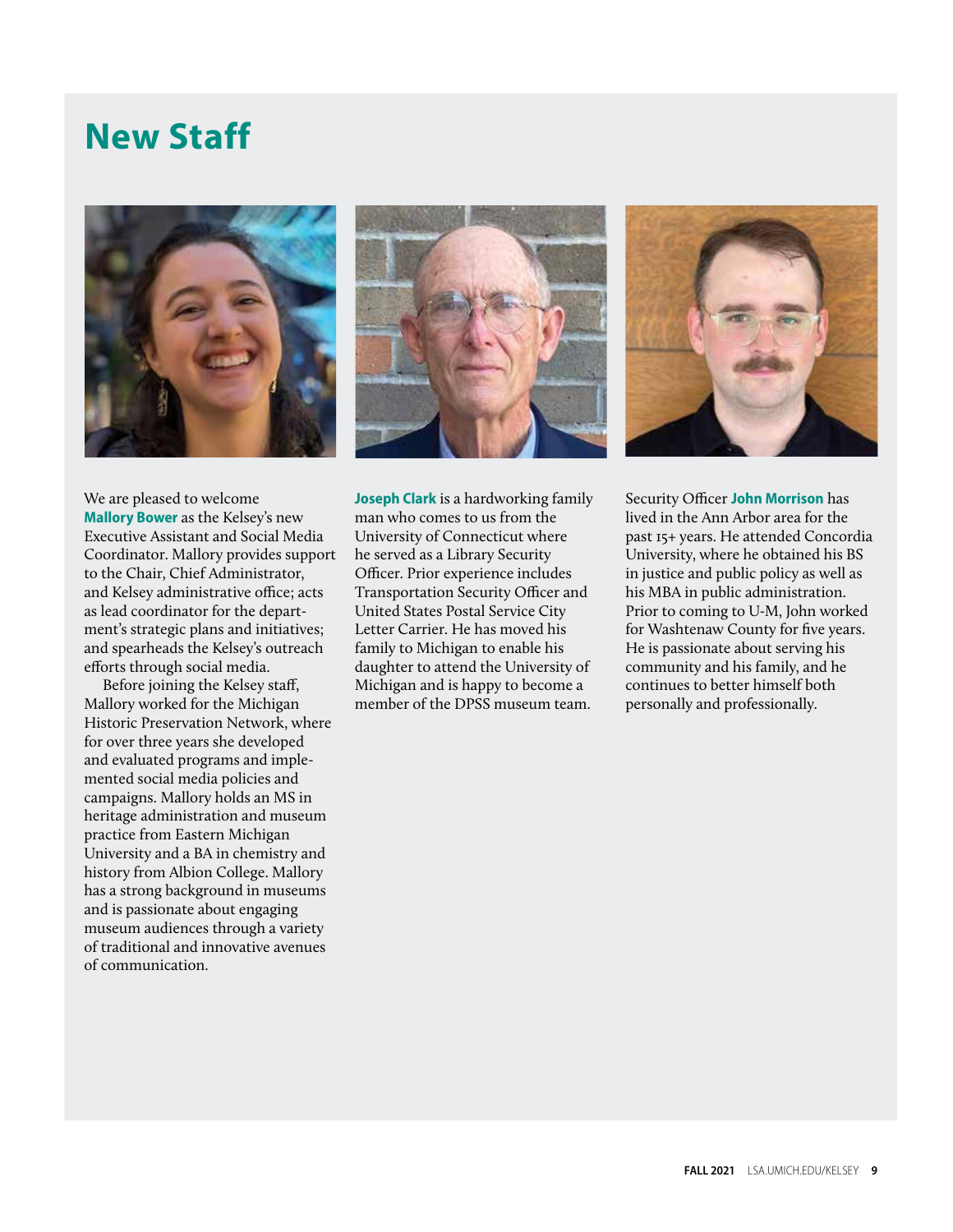### **New Staff**







We are pleased to welcome **Mallory Bower** as the Kelsey's new Executive Assistant and Social Media Coordinator. Mallory provides support to the Chair, Chief Administrator, and Kelsey administrative office; acts as lead coordinator for the department's strategic plans and initiatives; and spearheads the Kelsey's outreach efforts through social media.

Before joining the Kelsey staff, Mallory worked for the Michigan Historic Preservation Network, where for over three years she developed and evaluated programs and implemented social media policies and campaigns. Mallory holds an MS in heritage administration and museum practice from Eastern Michigan University and a BA in chemistry and history from Albion College. Mallory has a strong background in museums and is passionate about engaging museum audiences through a variety of traditional and innovative avenues of communication.

**Joseph Clark** is a hardworking family man who comes to us from the University of Connecticut where he served as a Library Security Officer. Prior experience includes Transportation Security Officer and United States Postal Service City Letter Carrier. He has moved his family to Michigan to enable his daughter to attend the University of Michigan and is happy to become a member of the DPSS museum team.

Security Officer **John Morrison** has lived in the Ann Arbor area for the past 15+ years. He attended Concordia University, where he obtained his BS in justice and public policy as well as his MBA in public administration. Prior to coming to U-M, John worked for Washtenaw County for five years. He is passionate about serving his community and his family, and he continues to better himself both personally and professionally.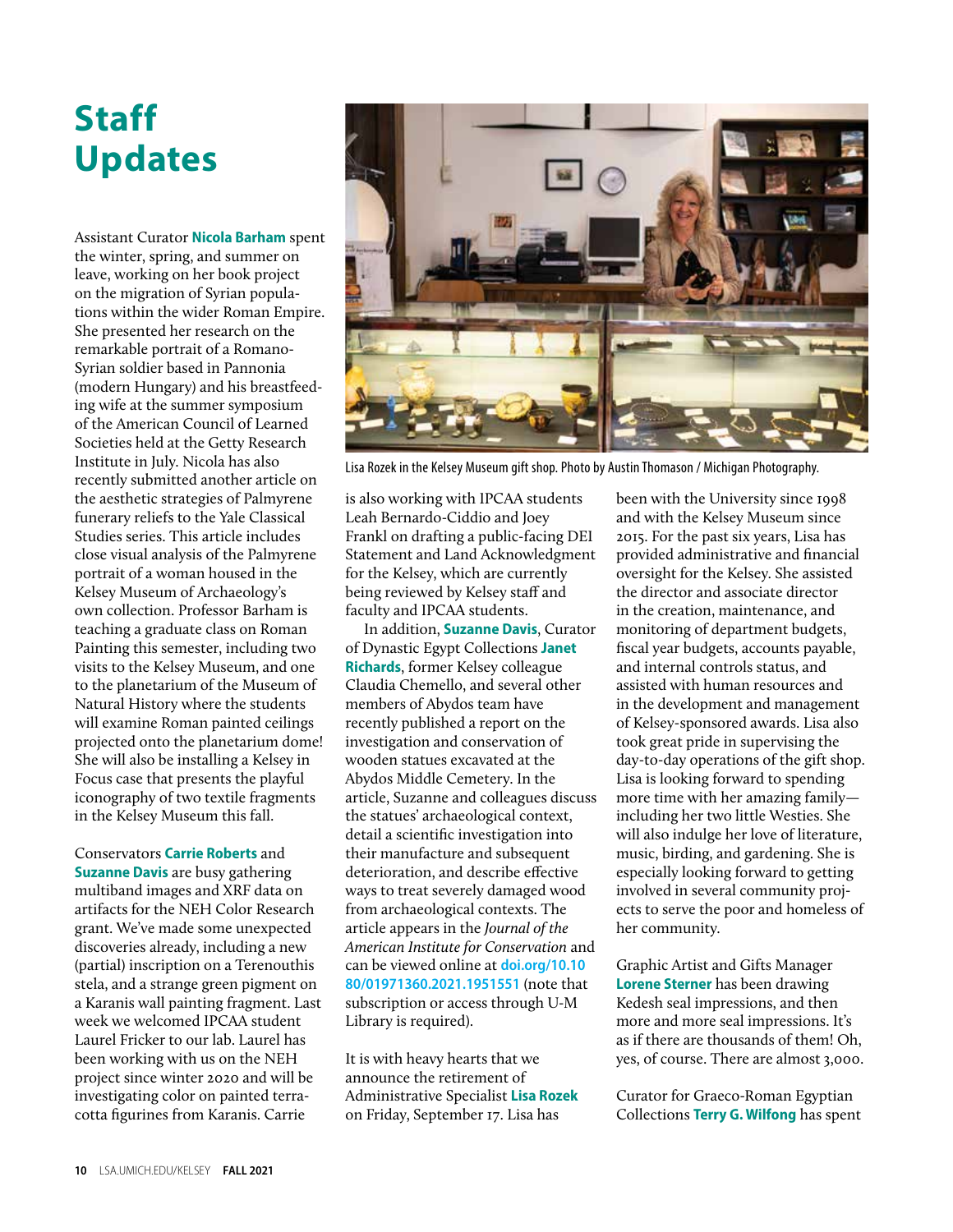### **Staff Updates**

Assistant Curator **Nicola Barham** spent the winter, spring, and summer on leave, working on her book project on the migration of Syrian populations within the wider Roman Empire. She presented her research on the remarkable portrait of a Romano-Syrian soldier based in Pannonia (modern Hungary) and his breastfeeding wife at the summer symposium of the American Council of Learned Societies held at the Getty Research Institute in July. Nicola has also recently submitted another article on the aesthetic strategies of Palmyrene funerary reliefs to the Yale Classical Studies series. This article includes close visual analysis of the Palmyrene portrait of a woman housed in the Kelsey Museum of Archaeology's own collection. Professor Barham is teaching a graduate class on Roman Painting this semester, including two visits to the Kelsey Museum, and one to the planetarium of the Museum of Natural History where the students will examine Roman painted ceilings projected onto the planetarium dome! She will also be installing a Kelsey in Focus case that presents the playful iconography of two textile fragments in the Kelsey Museum this fall.

Conservators **Carrie Roberts** and **Suzanne Davis** are busy gathering multiband images and XRF data on artifacts for the NEH Color Research grant. We've made some unexpected discoveries already, including a new (partial) inscription on a Terenouthis stela, and a strange green pigment on a Karanis wall painting fragment. Last week we welcomed IPCAA student Laurel Fricker to our lab. Laurel has been working with us on the NEH project since winter 2020 and will be investigating color on painted terracotta figurines from Karanis. Carrie



Lisa Rozek in the Kelsey Museum gift shop. Photo by Austin Thomason / Michigan Photography.

is also working with IPCAA students Leah Bernardo-Ciddio and Joey Frankl on drafting a public-facing DEI Statement and Land Acknowledgment for the Kelsey, which are currently being reviewed by Kelsey staff and faculty and IPCAA students.

In addition, **Suzanne Davis**, Curator of Dynastic Egypt Collections **Janet Richards**, former Kelsey colleague Claudia Chemello, and several other members of Abydos team have recently published a report on the investigation and conservation of wooden statues excavated at the Abydos Middle Cemetery. In the article, Suzanne and colleagues discuss the statues' archaeological context, detail a scientific investigation into their manufacture and subsequent deterioration, and describe effective ways to treat severely damaged wood from archaeological contexts. The article appears in the *Journal of the American Institute for Conservation* and can be viewed online at **[doi.org/10.10](https://doi.org/10.1080/01971360.2021.1951551) [80/01971360.2021.1951551](https://doi.org/10.1080/01971360.2021.1951551)** (note that subscription or access through U-M Library is required).

It is with heavy hearts that we announce the retirement of Administrative Specialist **Lisa Rozek** on Friday, September 17. Lisa has

been with the University since 1998 and with the Kelsey Museum since 2015. For the past six years, Lisa has provided administrative and financial oversight for the Kelsey. She assisted the director and associate director in the creation, maintenance, and monitoring of department budgets, fiscal year budgets, accounts payable, and internal controls status, and assisted with human resources and in the development and management of Kelsey-sponsored awards. Lisa also took great pride in supervising the day-to-day operations of the gift shop. Lisa is looking forward to spending more time with her amazing family including her two little Westies. She will also indulge her love of literature, music, birding, and gardening. She is especially looking forward to getting involved in several community projects to serve the poor and homeless of her community.

Graphic Artist and Gifts Manager **Lorene Sterner** has been drawing Kedesh seal impressions, and then more and more seal impressions. It's as if there are thousands of them! Oh, yes, of course. There are almost 3,000.

Curator for Graeco-Roman Egyptian Collections **Terry G. Wilfong** has spent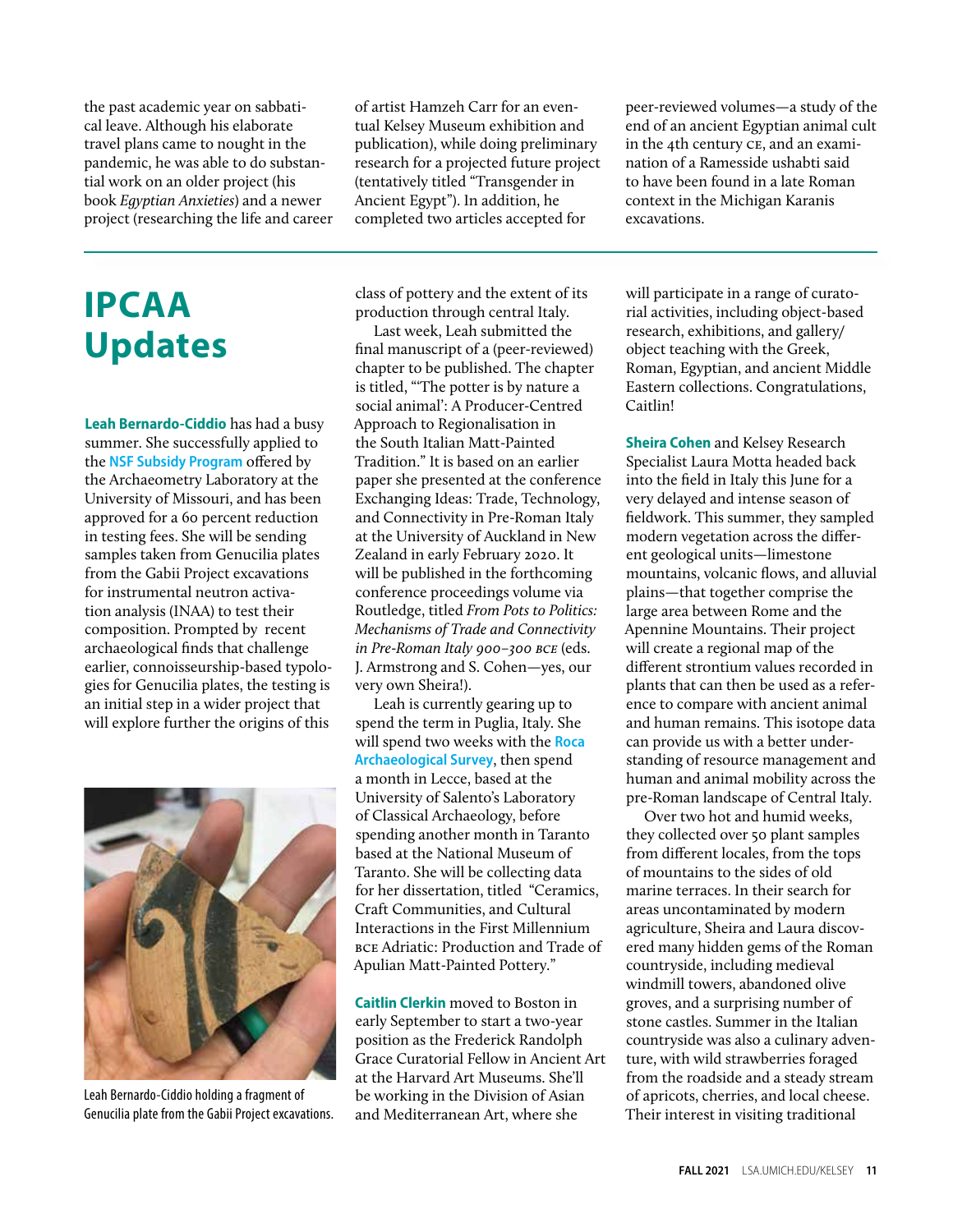the past academic year on sabbatical leave. Although his elaborate travel plans came to nought in the pandemic, he was able to do substantial work on an older project (his book *Egyptian Anxieties*) and a newer project (researching the life and career

### **IPCAA Updates**

**Leah Bernardo-Ciddio** has had a busy summer. She successfully applied to the **[NSF Subsidy Program](https://archaeometry.missouri.edu/nsf_subsidy.html)** offered by the Archaeometry Laboratory at the University of Missouri, and has been approved for a 60 percent reduction in testing fees. She will be sending samples taken from Genucilia plates from the Gabii Project excavations for instrumental neutron activation analysis (INAA) to test their composition. Prompted by recent archaeological finds that challenge earlier, connoisseurship-based typologies for Genucilia plates, the testing is an initial step in a wider project that will explore further the origins of this



Leah Bernardo-Ciddio holding a fragment of Genucilia plate from the Gabii Project excavations.

of artist Hamzeh Carr for an eventual Kelsey Museum exhibition and publication), while doing preliminary research for a projected future project (tentatively titled "Transgender in Ancient Egypt"). In addition, he completed two articles accepted for

class of pottery and the extent of its production through central Italy.

Last week, Leah submitted the final manuscript of a (peer-reviewed) chapter to be published. The chapter is titled, "'The potter is by nature a social animal': A Producer-Centred Approach to Regionalisation in the South Italian Matt-Painted Tradition." It is based on an earlier paper she presented at the conference Exchanging Ideas: Trade, Technology, and Connectivity in Pre-Roman Italy at the University of Auckland in New Zealand in early February 2020. It will be published in the forthcoming conference proceedings volume via Routledge, titled *From Pots to Politics: Mechanisms of Trade and Connectivity in Pre-Roman Italy 900–300 bce* (eds. J. Armstrong and S. Cohen—yes, our very own Sheira!).

Leah is currently gearing up to spend the term in Puglia, Italy. She will spend two weeks with the **[Roca](https://site.unibo.it/paesaggi-mob-mem/en/roca-archaeological-survey)  [Archaeological Survey](https://site.unibo.it/paesaggi-mob-mem/en/roca-archaeological-survey)**, then spend a month in Lecce, based at the University of Salento's Laboratory of Classical Archaeology, before spending another month in Taranto based at the National Museum of Taranto. She will be collecting data for her dissertation, titled "Ceramics, Craft Communities, and Cultural Interactions in the First Millennium bce Adriatic: Production and Trade of Apulian Matt-Painted Pottery."

**Caitlin Clerkin** moved to Boston in early September to start a two-year position as the Frederick Randolph Grace Curatorial Fellow in Ancient Art at the Harvard Art Museums. She'll be working in the Division of Asian and Mediterranean Art, where she

peer-reviewed volumes—a study of the end of an ancient Egyptian animal cult in the 4th century ce, and an examination of a Ramesside ushabti said to have been found in a late Roman context in the Michigan Karanis excavations.

will participate in a range of curatorial activities, including object-based research, exhibitions, and gallery/ object teaching with the Greek, Roman, Egyptian, and ancient Middle Eastern collections. Congratulations, Caitlin!

**Sheira Cohen** and Kelsey Research Specialist Laura Motta headed back into the field in Italy this June for a very delayed and intense season of fieldwork. This summer, they sampled modern vegetation across the different geological units—limestone mountains, volcanic flows, and alluvial plains—that together comprise the large area between Rome and the Apennine Mountains. Their project will create a regional map of the different strontium values recorded in plants that can then be used as a reference to compare with ancient animal and human remains. This isotope data can provide us with a better understanding of resource management and human and animal mobility across the pre-Roman landscape of Central Italy.

Over two hot and humid weeks, they collected over 50 plant samples from different locales, from the tops of mountains to the sides of old marine terraces. In their search for areas uncontaminated by modern agriculture, Sheira and Laura discovered many hidden gems of the Roman countryside, including medieval windmill towers, abandoned olive groves, and a surprising number of stone castles. Summer in the Italian countryside was also a culinary adventure, with wild strawberries foraged from the roadside and a steady stream of apricots, cherries, and local cheese. Their interest in visiting traditional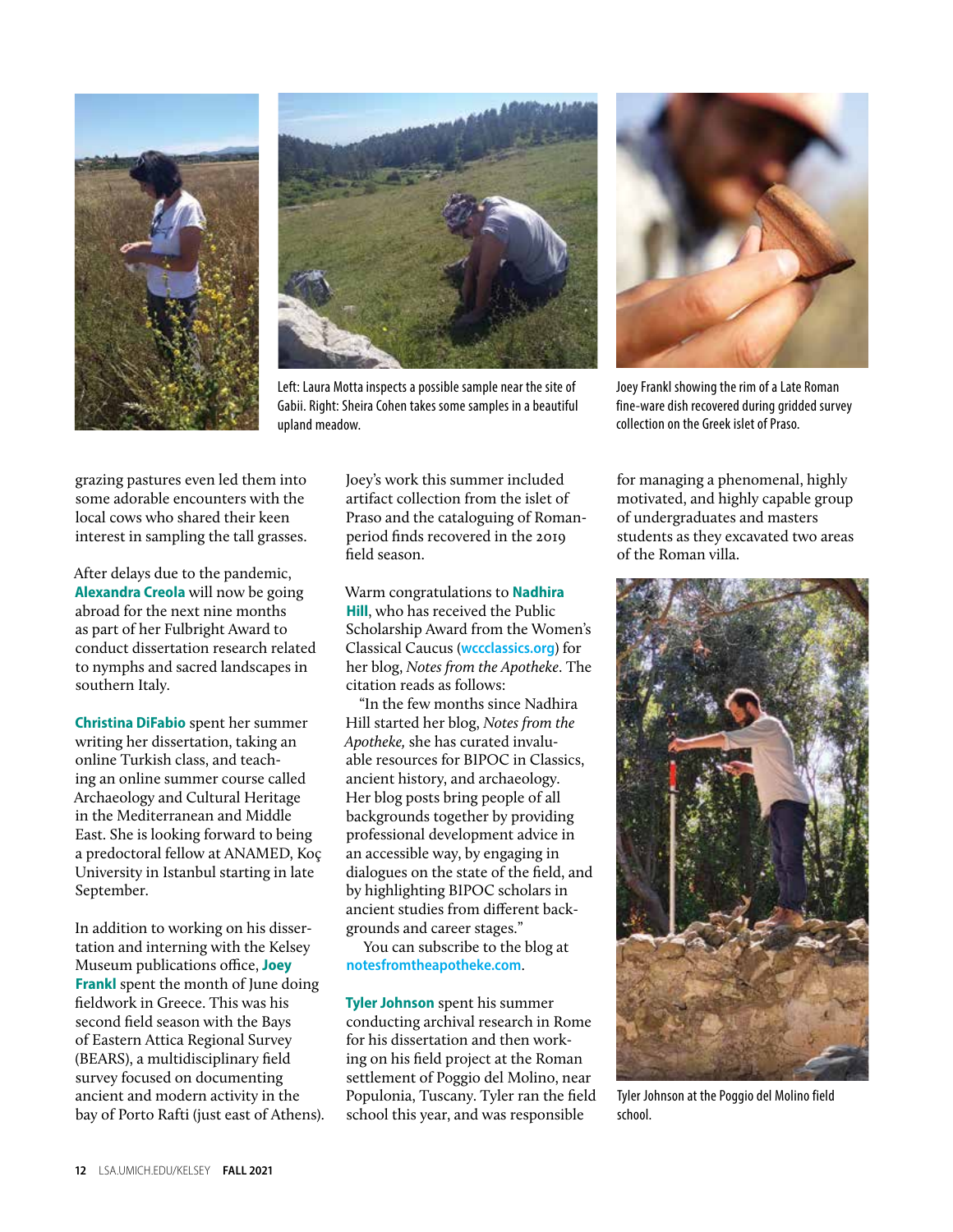



Left: Laura Motta inspects a possible sample near the site of Gabii. Right: Sheira Cohen takes some samples in a beautiful upland meadow.



Joey Frankl showing the rim of a Late Roman fine-ware dish recovered during gridded survey collection on the Greek islet of Praso.

grazing pastures even led them into some adorable encounters with the local cows who shared their keen interest in sampling the tall grasses.

After delays due to the pandemic, **Alexandra Creola** will now be going abroad for the next nine months as part of her Fulbright Award to conduct dissertation research related to nymphs and sacred landscapes in southern Italy.

**Christina DiFabio** spent her summer writing her dissertation, taking an online Turkish class, and teaching an online summer course called Archaeology and Cultural Heritage in the Mediterranean and Middle East. She is looking forward to being a predoctoral fellow at ANAMED, Koç University in Istanbul starting in late September.

In addition to working on his dissertation and interning with the Kelsey Museum publications office, **Joey Frankl** spent the month of June doing fieldwork in Greece. This was his second field season with the Bays of Eastern Attica Regional Survey (BEARS), a multidisciplinary field survey focused on documenting ancient and modern activity in the bay of Porto Rafti (just east of Athens). Joey's work this summer included artifact collection from the islet of Praso and the cataloguing of Romanperiod finds recovered in the 2019 field season.

Warm congratulations to **Nadhira Hill**, who has received the Public Scholarship Award from the Women's Classical Caucus (**[wccclassics.org](https://www.wccclassics.org/)**) for her blog, *Notes from the Apotheke*. The citation reads as follows:

"In the few months since Nadhira Hill started her blog, *Notes from the Apotheke,* she has curated invaluable resources for BIPOC in Classics, ancient history, and archaeology. Her blog posts bring people of all backgrounds together by providing professional development advice in an accessible way, by engaging in dialogues on the state of the field, and by highlighting BIPOC scholars in ancient studies from different backgrounds and career stages."

You can subscribe to the blog at **[notesfromtheapotheke.com](https://notesfromtheapotheke.com/)**.

**Tyler Johnson** spent his summer conducting archival research in Rome for his dissertation and then working on his field project at the Roman settlement of Poggio del Molino, near Populonia, Tuscany. Tyler ran the field school this year, and was responsible

for managing a phenomenal, highly motivated, and highly capable group of undergraduates and masters students as they excavated two areas of the Roman villa.



Tyler Johnson at the Poggio del Molino field school.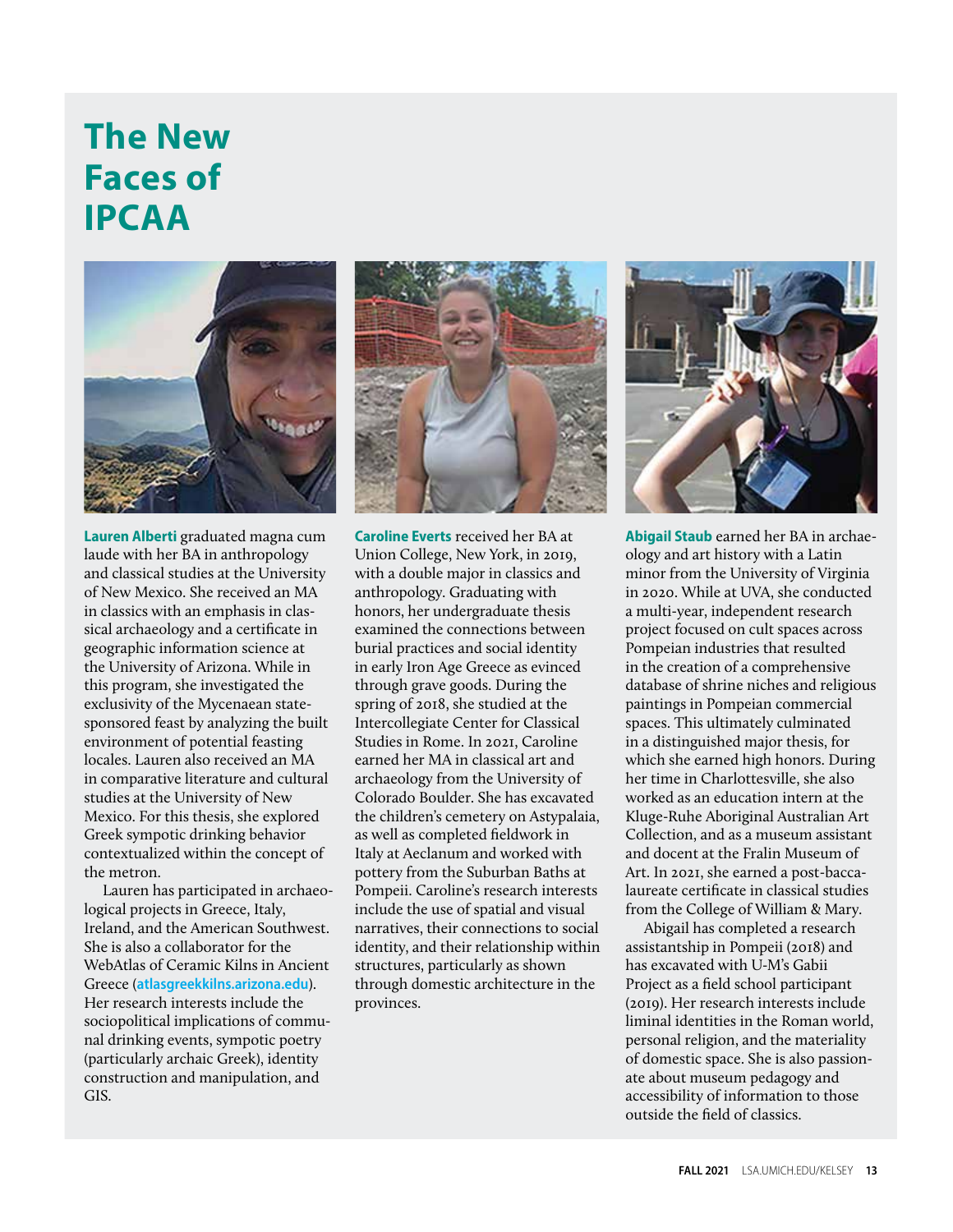### **The New Faces of IPCAA**



**Lauren Alberti** graduated magna cum laude with her BA in anthropology and classical studies at the University of New Mexico. She received an MA in classics with an emphasis in classical archaeology and a certificate in geographic information science at the University of Arizona. While in this program, she investigated the exclusivity of the Mycenaean statesponsored feast by analyzing the built environment of potential feasting locales. Lauren also received an MA in comparative literature and cultural studies at the University of New Mexico. For this thesis, she explored Greek sympotic drinking behavior contextualized within the concept of the metron.

Lauren has participated in archaeological projects in Greece, Italy, Ireland, and the American Southwest. She is also a collaborator for the [WebAtlas of Ceramic Kilns in Ancient](https://atlasgreekkilns.arizona.edu/)  [Greece](https://atlasgreekkilns.arizona.edu/) (**[atlasgreekkilns.arizona.edu](http://atlasgreekkilns.arizona.edu/)**). Her research interests include the sociopolitical implications of communal drinking events, sympotic poetry (particularly archaic Greek), identity construction and manipulation, and GIS.



**Caroline Everts** received her BA at Union College, New York, in 2019, with a double major in classics and anthropology. Graduating with honors, her undergraduate thesis examined the connections between burial practices and social identity in early Iron Age Greece as evinced through grave goods. During the spring of 2018, she studied at the Intercollegiate Center for Classical Studies in Rome. In 2021, Caroline earned her MA in classical art and archaeology from the University of Colorado Boulder. She has excavated the children's cemetery on Astypalaia, as well as completed fieldwork in Italy at Aeclanum and worked with pottery from the Suburban Baths at Pompeii. Caroline's research interests include the use of spatial and visual narratives, their connections to social identity, and their relationship within structures, particularly as shown through domestic architecture in the provinces.



**Abigail Staub** earned her BA in archaeology and art history with a Latin minor from the University of Virginia in 2020. While at UVA, she conducted a multi-year, independent research project focused on cult spaces across Pompeian industries that resulted in the creation of a comprehensive database of shrine niches and religious paintings in Pompeian commercial spaces. This ultimately culminated in a distinguished major thesis, for which she earned high honors. During her time in Charlottesville, she also worked as an education intern at the Kluge-Ruhe Aboriginal Australian Art Collection, and as a museum assistant and docent at the Fralin Museum of Art. In 2021, she earned a post-baccalaureate certificate in classical studies from the College of William & Mary.

Abigail has completed a research assistantship in Pompeii (2018) and has excavated with U-M's Gabii Project as a field school participant (2019). Her research interests include liminal identities in the Roman world, personal religion, and the materiality of domestic space. She is also passionate about museum pedagogy and accessibility of information to those outside the field of classics.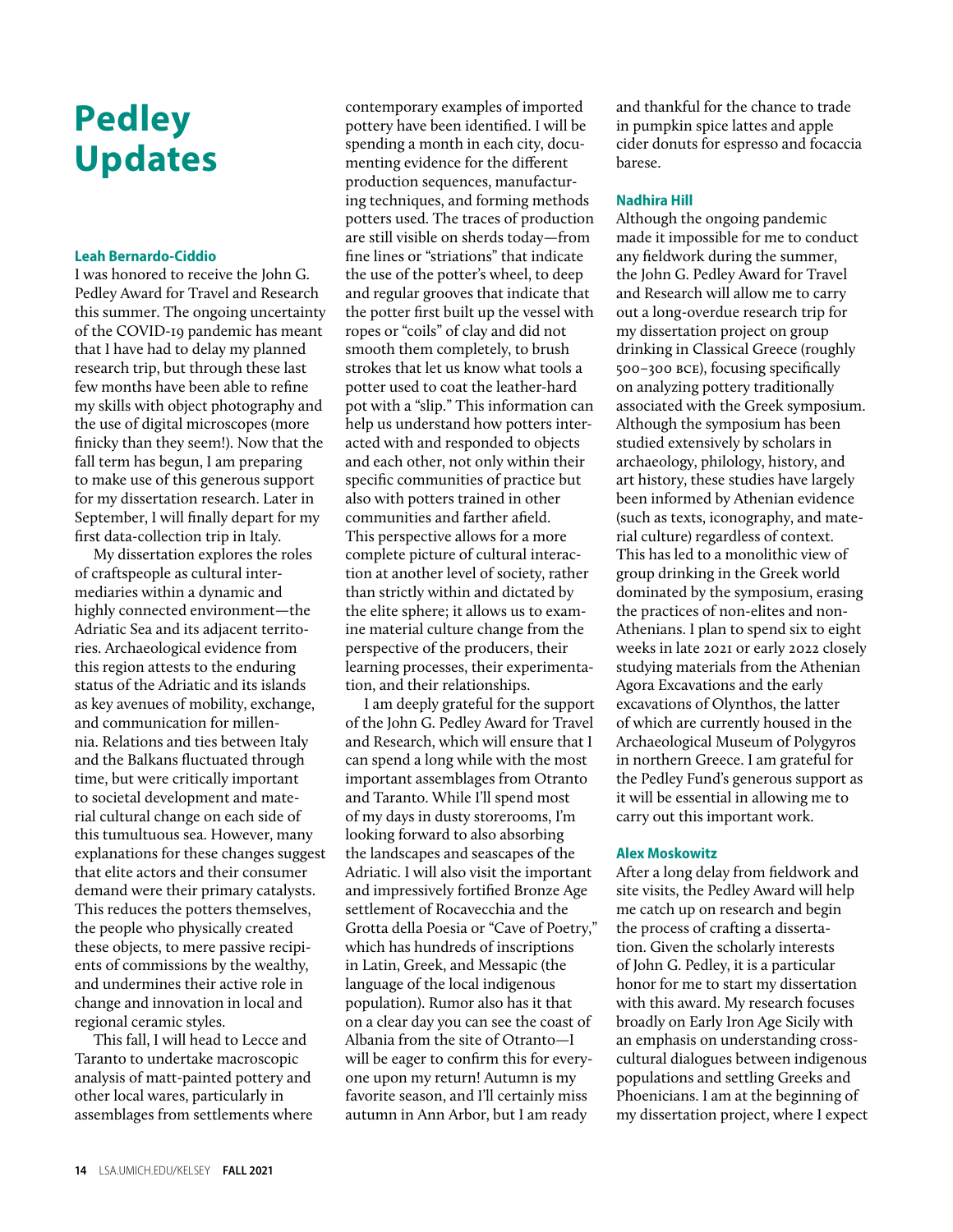### **Pedley Updates**

### **Leah Bernardo-Ciddio**

I was honored to receive the John G. Pedley Award for Travel and Research this summer. The ongoing uncertainty of the COVID-19 pandemic has meant that I have had to delay my planned research trip, but through these last few months have been able to refine my skills with object photography and the use of digital microscopes (more finicky than they seem!). Now that the fall term has begun, I am preparing to make use of this generous support for my dissertation research. Later in September, I will finally depart for my first data-collection trip in Italy.

My dissertation explores the roles of craftspeople as cultural intermediaries within a dynamic and highly connected environment—the Adriatic Sea and its adjacent territories. Archaeological evidence from this region attests to the enduring status of the Adriatic and its islands as key avenues of mobility, exchange, and communication for millennia. Relations and ties between Italy and the Balkans fluctuated through time, but were critically important to societal development and material cultural change on each side of this tumultuous sea. However, many explanations for these changes suggest that elite actors and their consumer demand were their primary catalysts. This reduces the potters themselves, the people who physically created these objects, to mere passive recipients of commissions by the wealthy, and undermines their active role in change and innovation in local and regional ceramic styles.

This fall, I will head to Lecce and Taranto to undertake macroscopic analysis of matt-painted pottery and other local wares, particularly in assemblages from settlements where

contemporary examples of imported pottery have been identified. I will be spending a month in each city, documenting evidence for the different production sequences, manufacturing techniques, and forming methods potters used. The traces of production are still visible on sherds today—from fine lines or "striations" that indicate the use of the potter's wheel, to deep and regular grooves that indicate that the potter first built up the vessel with ropes or "coils" of clay and did not smooth them completely, to brush strokes that let us know what tools a potter used to coat the leather-hard pot with a "slip." This information can help us understand how potters interacted with and responded to objects and each other, not only within their specific communities of practice but also with potters trained in other communities and farther afield. This perspective allows for a more complete picture of cultural interaction at another level of society, rather than strictly within and dictated by the elite sphere; it allows us to examine material culture change from the perspective of the producers, their learning processes, their experimentation, and their relationships.

I am deeply grateful for the support of the John G. Pedley Award for Travel and Research, which will ensure that I can spend a long while with the most important assemblages from Otranto and Taranto. While I'll spend most of my days in dusty storerooms, I'm looking forward to also absorbing the landscapes and seascapes of the Adriatic. I will also visit the important and impressively fortified Bronze Age settlement of Rocavecchia and the Grotta della Poesia or "Cave of Poetry," which has hundreds of inscriptions in Latin, Greek, and Messapic (the language of the local indigenous population). Rumor also has it that on a clear day you can see the coast of Albania from the site of Otranto—I will be eager to confirm this for everyone upon my return! Autumn is my favorite season, and I'll certainly miss autumn in Ann Arbor, but I am ready

and thankful for the chance to trade in pumpkin spice lattes and apple cider donuts for espresso and focaccia barese.

### **Nadhira Hill**

Although the ongoing pandemic made it impossible for me to conduct any fieldwork during the summer, the John G. Pedley Award for Travel and Research will allow me to carry out a long-overdue research trip for my dissertation project on group drinking in Classical Greece (roughly 500–300 bce), focusing specifically on analyzing pottery traditionally associated with the Greek symposium. Although the symposium has been studied extensively by scholars in archaeology, philology, history, and art history, these studies have largely been informed by Athenian evidence (such as texts, iconography, and material culture) regardless of context. This has led to a monolithic view of group drinking in the Greek world dominated by the symposium, erasing the practices of non-elites and non-Athenians. I plan to spend six to eight weeks in late 2021 or early 2022 closely studying materials from the Athenian Agora Excavations and the early excavations of Olynthos, the latter of which are currently housed in the Archaeological Museum of Polygyros in northern Greece. I am grateful for the Pedley Fund's generous support as it will be essential in allowing me to carry out this important work.

### **Alex Moskowitz**

After a long delay from fieldwork and site visits, the Pedley Award will help me catch up on research and begin the process of crafting a dissertation. Given the scholarly interests of John G. Pedley, it is a particular honor for me to start my dissertation with this award. My research focuses broadly on Early Iron Age Sicily with an emphasis on understanding crosscultural dialogues between indigenous populations and settling Greeks and Phoenicians. I am at the beginning of my dissertation project, where I expect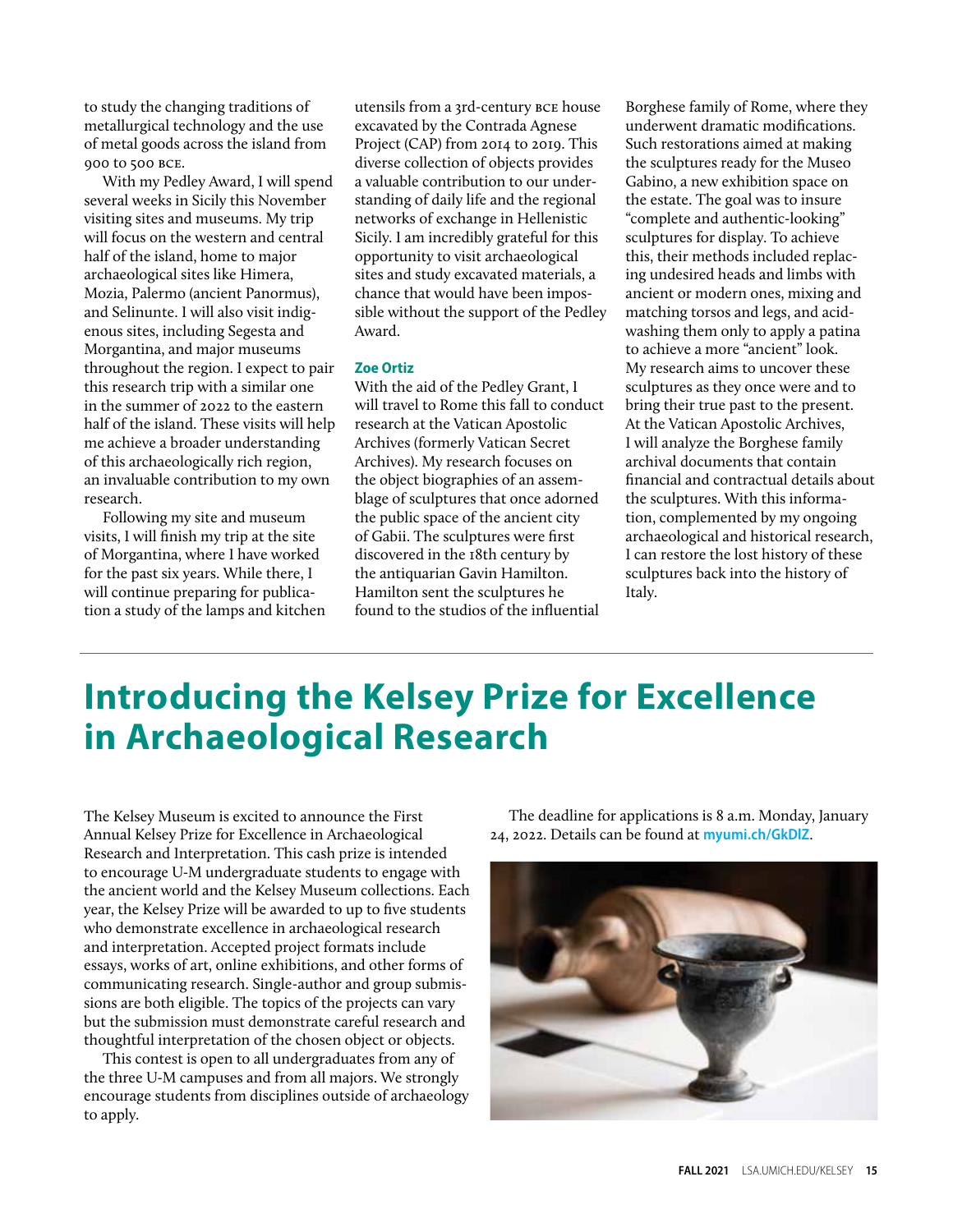to study the changing traditions of metallurgical technology and the use of metal goods across the island from 900 to 500 bce.

With my Pedley Award, I will spend several weeks in Sicily this November visiting sites and museums. My trip will focus on the western and central half of the island, home to major archaeological sites like Himera, Mozia, Palermo (ancient Panormus), and Selinunte. I will also visit indigenous sites, including Segesta and Morgantina, and major museums throughout the region. I expect to pair this research trip with a similar one in the summer of 2022 to the eastern half of the island. These visits will help me achieve a broader understanding of this archaeologically rich region, an invaluable contribution to my own research.

Following my site and museum visits, I will finish my trip at the site of Morgantina, where I have worked for the past six years. While there, I will continue preparing for publication a study of the lamps and kitchen

utensils from a 3rd-century bce house excavated by the Contrada Agnese Project (CAP) from 2014 to 2019. This diverse collection of objects provides a valuable contribution to our understanding of daily life and the regional networks of exchange in Hellenistic Sicily. I am incredibly grateful for this opportunity to visit archaeological sites and study excavated materials, a chance that would have been impossible without the support of the Pedley Award.

### **Zoe Ortiz**

With the aid of the Pedley Grant, I will travel to Rome this fall to conduct research at the Vatican Apostolic Archives (formerly Vatican Secret Archives). My research focuses on the object biographies of an assemblage of sculptures that once adorned the public space of the ancient city of Gabii. The sculptures were first discovered in the 18th century by the antiquarian Gavin Hamilton. Hamilton sent the sculptures he found to the studios of the influential

Borghese family of Rome, where they underwent dramatic modifications. Such restorations aimed at making the sculptures ready for the Museo Gabino, a new exhibition space on the estate. The goal was to insure "complete and authentic-looking" sculptures for display. To achieve this, their methods included replacing undesired heads and limbs with ancient or modern ones, mixing and matching torsos and legs, and acidwashing them only to apply a patina to achieve a more "ancient" look. My research aims to uncover these sculptures as they once were and to bring their true past to the present. At the Vatican Apostolic Archives, I will analyze the Borghese family archival documents that contain financial and contractual details about the sculptures. With this information, complemented by my ongoing archaeological and historical research, I can restore the lost history of these sculptures back into the history of Italy.

### **Introducing the Kelsey Prize for Excellence in Archaeological Research**

The Kelsey Museum is excited to announce the First Annual Kelsey Prize for Excellence in Archaeological Research and Interpretation. This cash prize is intended to encourage U-M undergraduate students to engage with the ancient world and the Kelsey Museum collections. Each year, the Kelsey Prize will be awarded to up to five students who demonstrate excellence in archaeological research and interpretation. Accepted project formats include essays, works of art, online exhibitions, and other forms of communicating research. Single-author and group submissions are both eligible. The topics of the projects can vary but the submission must demonstrate careful research and thoughtful interpretation of the chosen object or objects.

This contest is open to all undergraduates from any of the three U-M campuses and from all majors. We strongly encourage students from disciplines outside of archaeology to apply.

The deadline for applications is 8 a.m. Monday, January 24, 2022. Details can be found at **[myumi.ch/GkDlZ](https://lsa.umich.edu/kelsey/education/university-and-college/kelsey-prize.html)**.

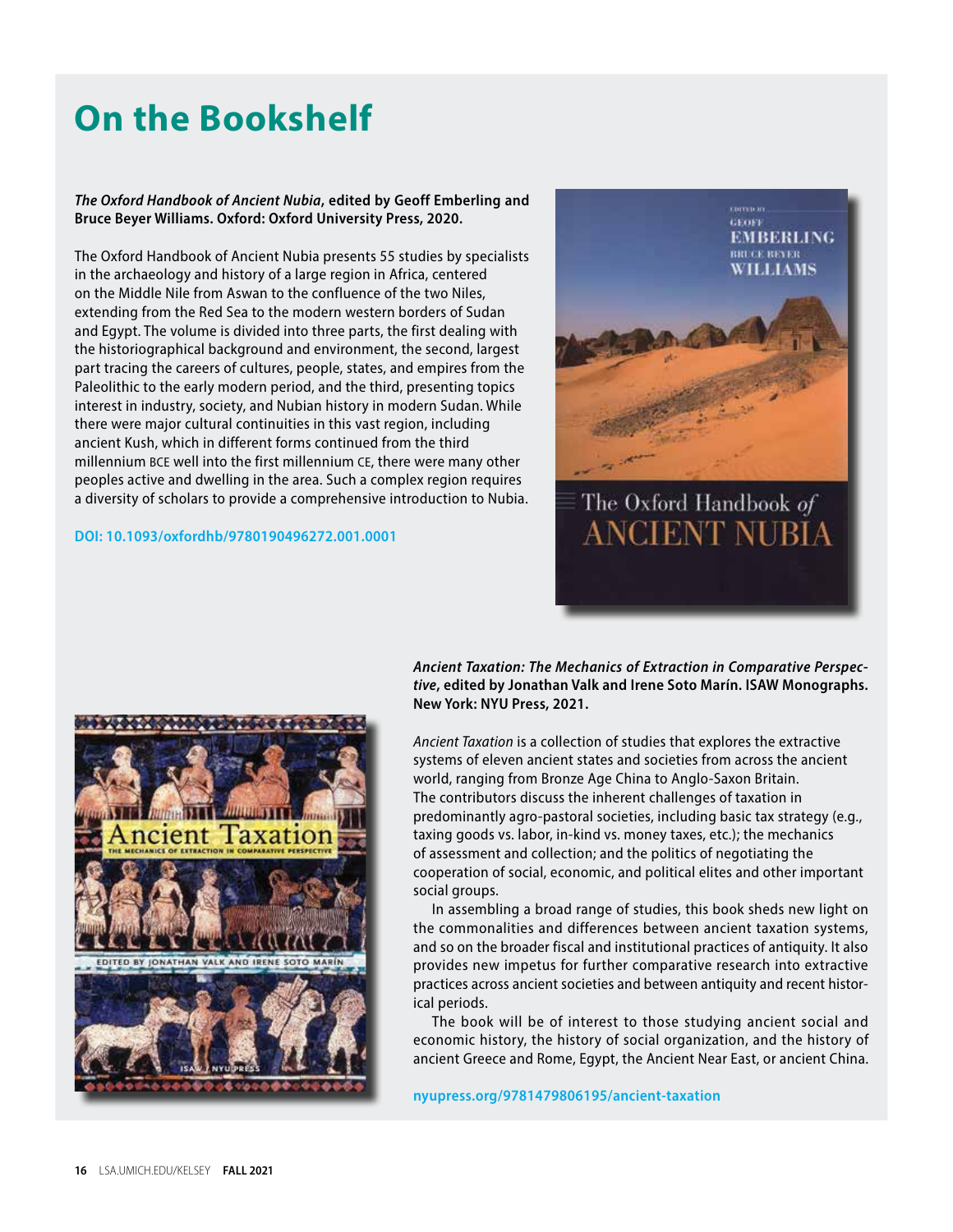### **On the Bookshelf**

### *The Oxford Handbook of Ancient Nubia***, edited by Geoff Emberling and Bruce Beyer Williams. Oxford: Oxford University Press, 2020.**

The Oxford Handbook of Ancient Nubia presents 55 studies by specialists in the archaeology and history of a large region in Africa, centered on the Middle Nile from Aswan to the confluence of the two Niles, extending from the Red Sea to the modern western borders of Sudan and Egypt. The volume is divided into three parts, the first dealing with the historiographical background and environment, the second, largest part tracing the careers of cultures, people, states, and empires from the Paleolithic to the early modern period, and the third, presenting topics interest in industry, society, and Nubian history in modern Sudan. While there were major cultural continuities in this vast region, including ancient Kush, which in different forms continued from the third millennium BCE well into the first millennium CE, there were many other peoples active and dwelling in the area. Such a complex region requires a diversity of scholars to provide a comprehensive introduction to Nubia.

### **[DOI: 10.1093/oxfordhb/9780190496272.001.0001](https://www.oxfordhandbooks.com/view/10.1093/oxfordhb/9780190496272.001.0001/oxfordhb-9780190496272)**



*Ancient Taxation: The Mechanics of Extraction in Comparative Perspective***, edited by Jonathan Valk and Irene Soto Marín. ISAW Monographs. New York: NYU Press, 2021.**

*Ancient Taxation* is a collection of studies that explores the extractive systems of eleven ancient states and societies from across the ancient world, ranging from Bronze Age China to Anglo-Saxon Britain. The contributors discuss the inherent challenges of taxation in predominantly agro-pastoral societies, including basic tax strategy (e.g., taxing goods vs. labor, in-kind vs. money taxes, etc.); the mechanics of assessment and collection; and the politics of negotiating the cooperation of social, economic, and political elites and other important social groups.

In assembling a broad range of studies, this book sheds new light on the commonalities and differences between ancient taxation systems, and so on the broader fiscal and institutional practices of antiquity. It also provides new impetus for further comparative research into extractive practices across ancient societies and between antiquity and recent historical periods.

The book will be of interest to those studying ancient social and economic history, the history of social organization, and the history of ancient Greece and Rome, Egypt, the Ancient Near East, or ancient China.

**[nyupress.org/9781479806195/ancient-taxation](https://nyupress.org/9781479806195/ancient-taxation/)**

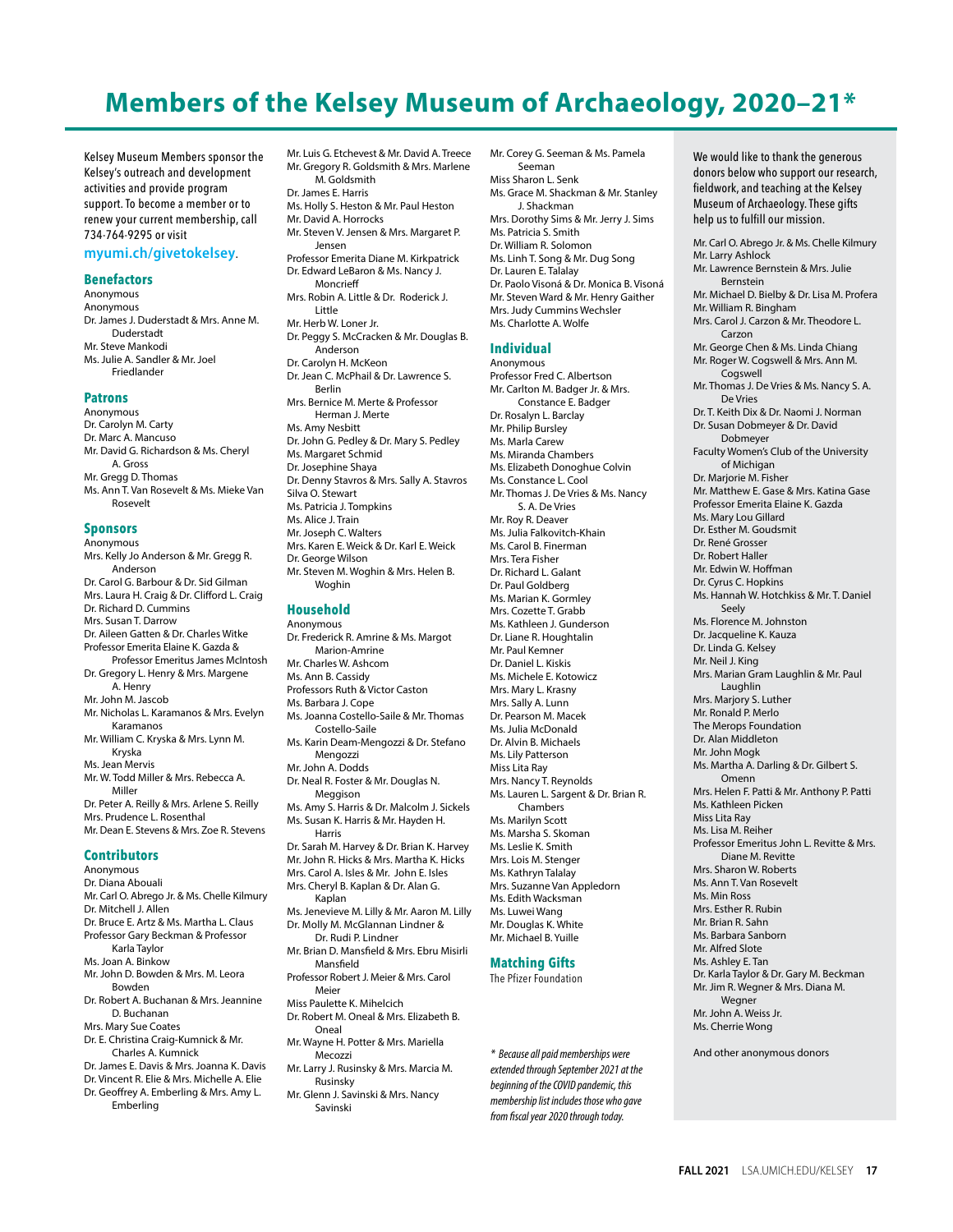### **Members of the Kelsey Museum of Archaeology, 2020–21\***

Kelsey Museum Members sponsor the Kelsey's outreach and development activities and provide program support. To become a member or to renew your current membership, call 734-764-9295 or visit

#### **[myumi.ch/givetokelsey](https://myumi.ch/givetokelsey)**.

#### **Benefactors**

Anonymous Anonymous Dr. James J. Duderstadt & Mrs. Anne M. Duderstadt Mr. Steve Mankodi Ms. Julie A. Sandler & Mr. Joel Friedlander

#### **Patrons**

Anonymous Dr. Carolyn M. Carty Dr. Marc A. Mancuso Mr. David G. Richardson & Ms. Cheryl A. Gross Mr. Gregg D. Thomas Ms. Ann T. Van Rosevelt & Ms. Mieke Van Rosevelt

#### **Sponsors**

Anonymous Mrs. Kelly Jo Anderson & Mr. Gregg R. Anderson Dr. Carol G. Barbour & Dr. Sid Gilman Mrs. Laura H. Craig & Dr. Clifford L. Craig Dr. Richard D. Cummins Mrs. Susan T. Darrow Dr. Aileen Gatten & Dr. Charles Witke Professor Emerita Elaine K. Gazda & Professor Emeritus James McIntosh Dr. Gregory L. Henry & Mrs. Margene A. Henry Mr. John M. Jascob Mr. Nicholas L. Karamanos & Mrs. Evelyn Karamanos Mr. William C. Kryska & Mrs. Lynn M. Kryska Ms. Jean Mervis Mr. W. Todd Miller & Mrs. Rebecca A. Miller Dr. Peter A. Reilly & Mrs. Arlene S. Reilly Mrs. Prudence L. Rosenthal Mr. Dean E. Stevens & Mrs. Zoe R. Stevens **Contributors** Anonymous Dr. Diana Abouali

Mr. Carl O. Abrego Jr. & Ms. Chelle Kilmury Dr. Mitchell J. Allen Dr. Bruce E. Artz & Ms. Martha L. Claus Professor Gary Beckman & Professor Karla Taylor Ms. Joan A. Binkow Mr. John D. Bowden & Mrs. M. Leora Bowden Dr. Robert A. Buchanan & Mrs. Jeannine D. Buchanan Mrs. Mary Sue Coates

Dr. E. Christina Craig-Kumnick & Mr. Charles A. Kumnick Dr. James E. Davis & Mrs. Joanna K. Davis

Dr. Vincent R. Elie & Mrs. Michelle A. Elie Dr. Geoffrey A. Emberling & Mrs. Amy L. Emberling

Mr. Luis G. Etchevest & Mr. David A. Treece Mr. Gregory R. Goldsmith & Mrs. Marlene M. Goldsmith Dr. James E. Harris Ms. Holly S. Heston & Mr. Paul Heston Mr. David A. Horrocks Mr. Steven V. Jensen & Mrs. Margaret P. Jensen Professor Emerita Diane M. Kirkpatrick Dr. Edward LeBaron & Ms. Nancy J. Moncrieff Mrs. Robin A. Little & Dr. Roderick J. Little Mr. Herb W. Loner Jr. Dr. Peggy S. McCracken & Mr. Douglas B. Anderson Dr. Carolyn H. McKeon Dr. Jean C. McPhail & Dr. Lawrence S. Berlin Mrs. Bernice M. Merte & Professor Herman J. Merte Ms. Amy Nesbitt Dr. John G. Pedley & Dr. Mary S. Pedley Ms. Margaret Schmid Dr. Josephine Shaya Dr. Denny Stavros & Mrs. Sally A. Stavros Silva O. Stewart Ms. Patricia J. Tompkins Ms. Alice J. Train Mr. Joseph C. Walters Mrs. Karen E. Weick & Dr. Karl E. Weick Dr. George Wilson Mr. Steven M. Woghin & Mrs. Helen B. Woghin **Household**

Anonymous Dr. Frederick R. Amrine & Ms. Margot Marion-Amrine Mr. Charles W. Ashcom Ms. Ann B. Cassidy Professors Ruth & Victor Caston Ms. Barbara J. Cope Ms. Joanna Costello-Saile & Mr. Thomas Costello-Saile Ms. Karin Deam-Mengozzi & Dr. Stefano Mengozzi Mr. John A. Dodds Dr. Neal R. Foster & Mr. Douglas N. Meggison Ms. Amy S. Harris & Dr. Malcolm J. Sickels Ms. Susan K. Harris & Mr. Hayden H. Harris Dr. Sarah M. Harvey & Dr. Brian K. Harvey Mr. John R. Hicks & Mrs. Martha K. Hicks Mrs. Carol A. Isles & Mr. John E. Isles Mrs. Cheryl B. Kaplan & Dr. Alan G. Kaplan Ms. Jenevieve M. Lilly & Mr. Aaron M. Lilly Dr. Molly M. McGlannan Lindner & Dr. Rudi P. Lindner Mr. Brian D. Mansfield & Mrs. Ebru Misirli Mansfield Professor Robert J. Meier & Mrs. Carol Meier Miss Paulette K. Mihelcich Dr. Robert M. Oneal & Mrs. Elizabeth B. Oneal Mr. Wayne H. Potter & Mrs. Mariella

Mecozzi Mr. Larry J. Rusinsky & Mrs. Marcia M. Rusinsky Mr. Glenn J. Savinski & Mrs. Nancy

Savinski

Mr. Corey G. Seeman & Ms. Pamela Seeman Miss Sharon L. Senk Ms. Grace M. Shackman & Mr. Stanley J. Shackman Mrs. Dorothy Sims & Mr. Jerry J. Sims Ms. Patricia S. Smith Dr. William R. Solomon Ms. Linh T. Song & Mr. Dug Song Dr. Lauren E. Talalay Dr. Paolo Visoná & Dr. Monica B. Visoná Mr. Steven Ward & Mr. Henry Gaither Mrs. Judy Cummins Wechsler Ms. Charlotte A. Wolfe

#### **Individual**

Anonymous Professor Fred C. Albertson Mr. Carlton M. Badger Jr. & Mrs. Constance E. Badger Dr. Rosalyn L. Barclay Mr. Philip Bursley Ms. Marla Carew Ms. Miranda Chambers Ms. Elizabeth Donoghue Colvin Ms. Constance L. Cool Mr. Thomas J. De Vries & Ms. Nancy S. A. De Vries Mr. Roy R. Deaver Ms. Julia Falkovitch-Khain Ms. Carol B. Finerman Mrs. Tera Fisher Dr. Richard L. Galant Dr. Paul Goldberg Ms. Marian K. Gormley Mrs. Cozette T. Grabb Ms. Kathleen J. Gunderson Dr. Liane R. Houghtalin Mr. Paul Kemner Dr. Daniel L. Kiskis Ms. Michele E. Kotowicz Mrs. Mary L. Krasny Mrs. Sally A. Lunn Dr. Pearson M. Macek Ms. Julia McDonald Dr. Alvin B. Michaels Ms. Lily Patterson Miss Lita Ray Mrs. Nancy T. Reynolds Ms. Lauren L. Sargent & Dr. Brian R. Chambers Ms. Marilyn Scott Ms. Marsha S. Skoman Ms. Leslie K. Smith Mrs. Lois M. Stenger Ms. Kathryn Talalay Mrs. Suzanne Van Appledorn Ms. Edith Wacksman Ms. Luwei Wang Mr. Douglas K. White Mr. Michael B. Yuille

#### **Matching Gifts**

The Pfizer Foundation

*\* Because all paid memberships were* And other anonymous donors *extended through September 2021 at the beginning of the COVID pandemic, this membership list includes those who gave from fiscal year 2020 through today.*

donors below who support our research, fieldwork, and teaching at the Kelsey Museum of Archaeology. These gifts help us to fulfill our mission. Mr. Carl O. Abrego Jr. & Ms. Chelle Kilmury Mr. Larry Ashlock Mr. Lawrence Bernstein & Mrs. Julie Bernstein Mr. Michael D. Bielby & Dr. Lisa M. Profera Mr. William R. Bingham Mrs. Carol J. Carzon & Mr. Theodore L. Carzon Mr. George Chen & Ms. Linda Chiang Mr. Roger W. Cogswell & Mrs. Ann M. **Coaswell** Mr. Thomas J. De Vries & Ms. Nancy S. A. De Vries Dr. T. Keith Dix & Dr. Naomi J. Norman Dr. Susan Dobmeyer & Dr. David Dobmeyer Faculty Women's Club of the University of Michigan Dr. Marjorie M. Fisher Mr. Matthew E. Gase & Mrs. Katina Gase Professor Emerita Elaine K. Gazda Ms. Mary Lou Gillard Dr. Esther M. Goudsmit Dr. René Grosser Dr. Robert Haller Mr. Edwin W. Hoffman Dr. Cyrus C. Hopkins Ms. Hannah W. Hotchkiss & Mr. T. Daniel Seely Ms. Florence M. Johnston Dr. Jacqueline K. Kauza Dr. Linda G. Kelsey Mr. Neil J. King Mrs. Marian Gram Laughlin & Mr. Paul Laughlin Mrs. Marjory S. Luther Mr. Ronald P. Merlo The Merops Foundation Dr. Alan Middleton Mr. John Mogk Ms. Martha A. Darling & Dr. Gilbert S. Omenn Mrs. Helen F. Patti & Mr. Anthony P. Patti Ms. Kathleen Picken Miss Lita Ray Ms. Lisa M. Reiher Professor Emeritus John L. Revitte & Mrs. Diane M. Revitte Mrs. Sharon W. Roberts Ms. Ann T. Van Rosevelt Ms. Min Ross Mrs. Esther R. Rubin Mr. Brian R. Sahn Ms. Barbara Sanborn Mr. Alfred Slote Ms. Ashley E. Tan Dr. Karla Taylor & Dr. Gary M. Beckman Mr. Jim R. Wegner & Mrs. Diana M. Wegner Mr. John A. Weiss Jr. Ms. Cherrie Wong

We would like to thank the generous